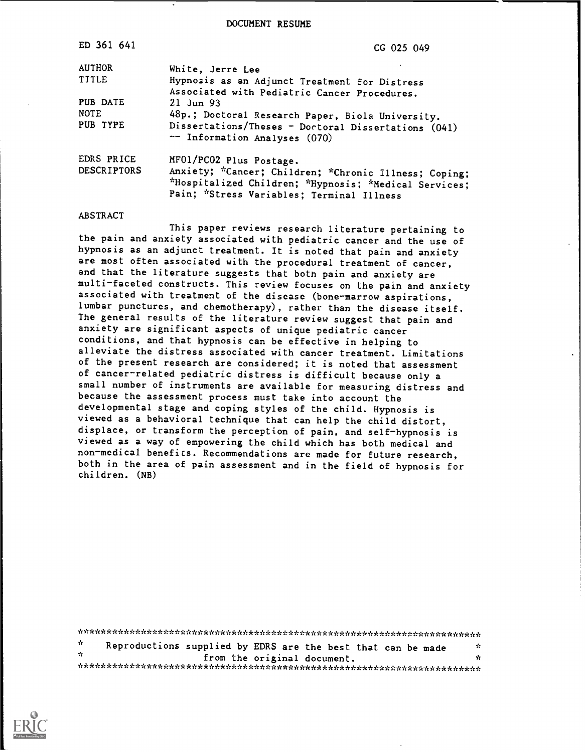DOCUMENT RESUME

| ED 361 641                       | CG 025 049                                                                                                                                                                             |
|----------------------------------|----------------------------------------------------------------------------------------------------------------------------------------------------------------------------------------|
| <b>AUTHOR</b>                    | White, Jerre Lee                                                                                                                                                                       |
| TITLE                            | Hypnosis as an Adjunct Treatment for Distress                                                                                                                                          |
| PUB DATE<br><b>NOTE</b>          | Associated with Pediatric Cancer Procedures.<br>$21$ Jun 93<br>48p.; Doctoral Research Paper, Biola University.                                                                        |
| PUB TYPE                         | Dissertations/Theses - Doctoral Dissertations (041)<br>-- Information Analyses (070)                                                                                                   |
| EDRS PRICE<br><b>DESCRIPTORS</b> | MF01/PC02 Plus Postage.<br>Anxiety; *Cancer; Children; *Chronic Illness; Coping;<br>*Hospitalized Children; *Hypnosis; *Medical Services;<br>Pain; *Stress Variables; Terminal Illness |

#### ABSTRACT

This paper reviews research literature pertaining to the pain and anxiety associated with pediatric cancer and the use of hypnosis as an adjunct treatment. It is noted that pain and anxiety are most often associated with the procedural treatment of cancer, and that the literature suggests that both pain and anxiety are multi-faceted constructs. This review focuses on the pain and anxiety associated with treatment of the disease (bone-marrow aspirations, lumbar punctures, and chemotherapy), rather than the disease itself. The general results of the literature review suggest that pain and anxiety are significant aspects of unique pediatric cancer conditions, and that hypnosis can be effective in helping to alleviate the distress associated with cancer treatment. Limitations of the present research are considered; it is noted that assessment of cancer-related pediatric distress is difficult because only a small number of instruments are available for measuring distress and because the assessment process must take into account the developmental stage and coping styles of the child. Hypnosis is viewed as a behavioral technique that can help the child distort, displace, or transform the perception of pain, and self-hypnosis is viewed as a way of empowering the child which has both medical and non-medical benefits. Recommendations are made for future research, both in the area of pain assessment and in the field of hypnosis for children. (NB)

| ή. | Reproductions supplied by EDRS are the best that can be made |  |  |                             |  | УC. |
|----|--------------------------------------------------------------|--|--|-----------------------------|--|-----|
| ÷. |                                                              |  |  | from the original document. |  | x   |
|    |                                                              |  |  |                             |  |     |

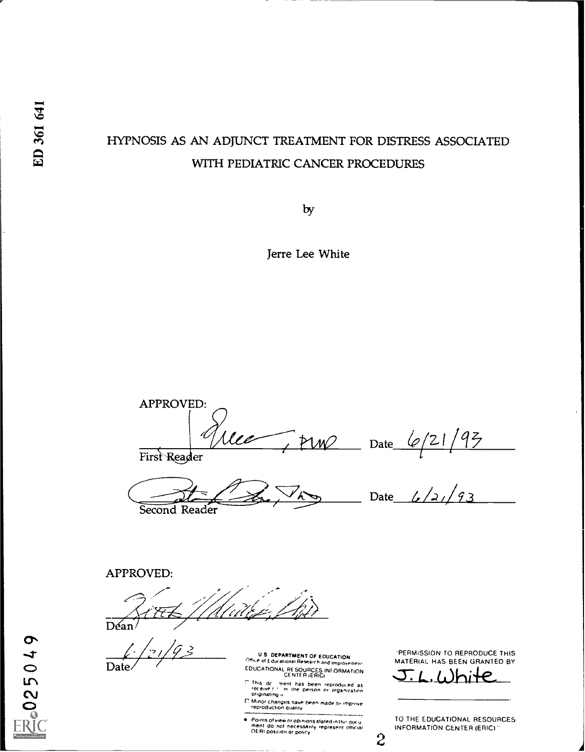# HYPNOSIS AS AN ADJUNCT TREATMENT FOR DISTRESS ASSOCIATED WITH PEDIATRIC CANCER PROCEDURES

 $\mathcal{O}$ 

Jerre Lee White

APPROVED: First Reader Date Date  $\frac{\sqrt{21/95}}{1}$ 

Second Reader

Date  $\frac{1}{2}$  /2 / 93

### APPROVED:

' 7 : 11 / 1 x  $Déan$  $\langle \rangle$ 

 $\frac{1}{2}\frac{7}{2}$ Date

U.S. DEPARTMENT OF EDUCATION.<br>\* of Educational Research and Improvement. EDUCATIONAL RESOURCES INFORMATION

This dc i ment has been reproduced as<br>receive till im the person or organization<br>originating ii

l.' Minor changes have been made to improve.<br>Treproduction quality

Points of view or opinions stated in thir document do not necessarily represent official OE RI position or policy

'PERMISSION TO REPRODUCE THIS MATERIAL HAS BEEN GRANTED BY

White

TO THE EDUCATIONAL RESOURCES INFORMATION CENTER (ERICI

25049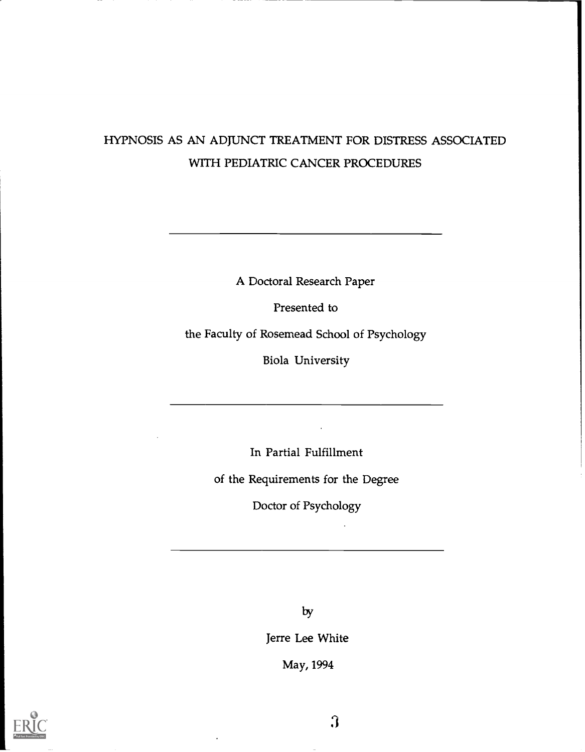# HYPNOSIS AS AN ADJUNCT TREATMENT FOR DISTRESS ASSOCIATED WITH PEDIATRIC CANCER PROCEDURES

A Doctoral Research Paper

Presented to

the Faculty of Rosemead School of Psychology

Biola University

In Partial Fulfillment

of the Requirements for the Degree

Doctor of Psychology

by

Jerre Lee White

May, 1994

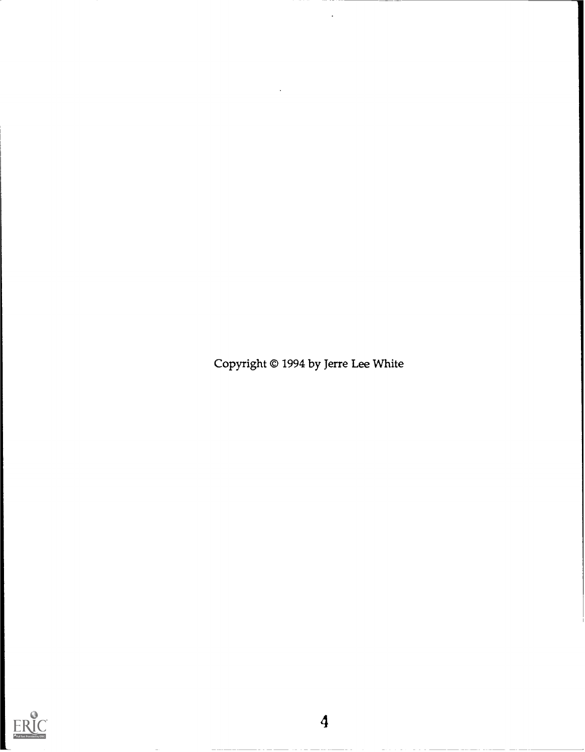Copyright © 1994 by Jerre Lee White

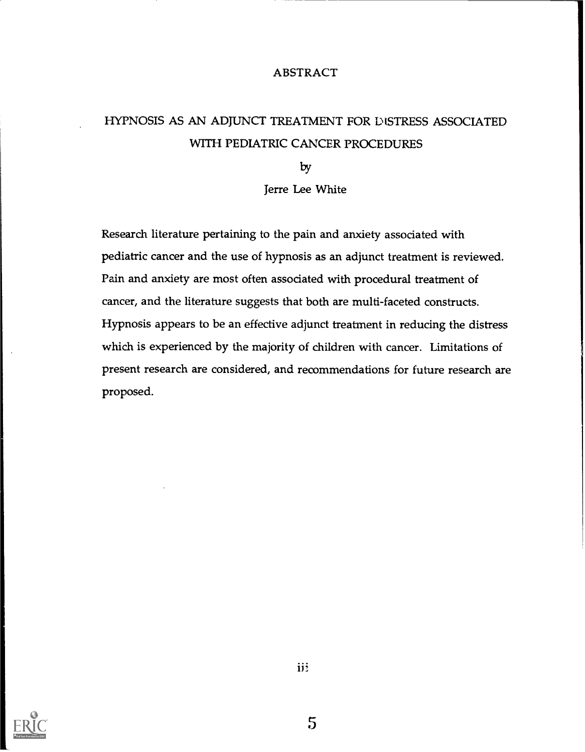#### ABSTRACT

# HYPNOSIS AS AN ADJUNCT TREATMENT FOR DISTRESS ASSOCIATED WITH PEDIATRIC CANCER PROCEDURES

 $\mathcal{D}$ y

Jerre Lee White

Research literature pertaining to the pain and anxiety associated with pediatric cancer and the use of hypnosis as an adjunct treatment is reviewed. Pain and anxiety are most often associated with procedural treatment of cancer, and the literature suggests that both are multi-faceted constructs. Hypnosis appears to be an effective adjunct treatment in reducing the distress which is experienced by the majority of children with cancer. Limitations of present research are considered, and recommendations for future research are proposed.

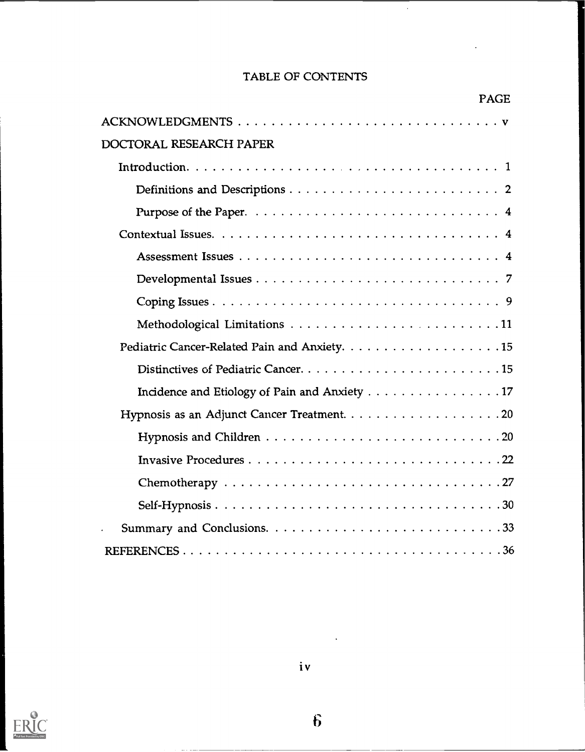## TABLE OF CONTENTS

 $\bar{z}$ 

|                                               | <b>PAGE</b> |
|-----------------------------------------------|-------------|
|                                               |             |
| DOCTORAL RESEARCH PAPER                       |             |
|                                               |             |
|                                               |             |
|                                               |             |
|                                               |             |
|                                               |             |
|                                               |             |
|                                               |             |
|                                               |             |
|                                               |             |
|                                               |             |
| Incidence and Etiology of Pain and Anxiety 17 |             |
|                                               |             |
|                                               |             |
|                                               |             |
|                                               |             |
|                                               |             |
|                                               |             |
|                                               |             |



 $\hat{b}$ 

 $\ddot{\phantom{a}}$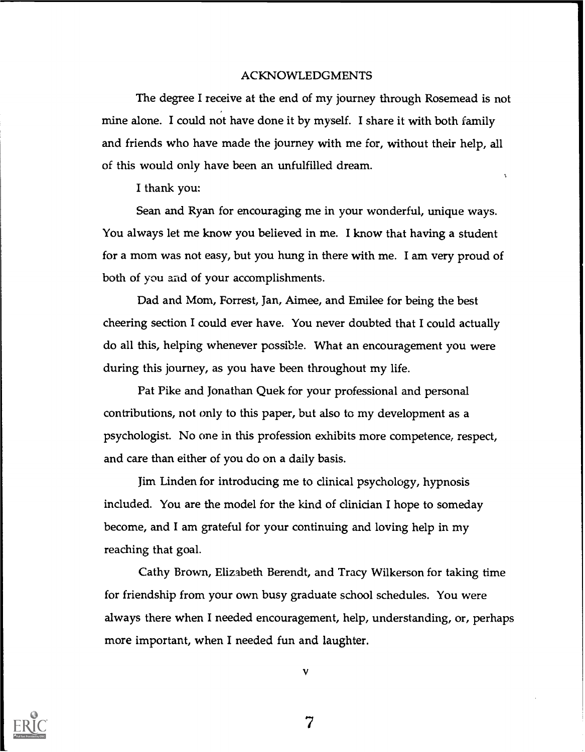#### ACKNOWLEDGMENTS

The degree I receive at the end of my journey through Rosemead is not mine alone. I could not have done it by myself. I share it with both family and friends who have made the journey with me for, without their help, all of this would only have been an unfulfilled dream.

I thank you:

Sean and Ryan for encouraging me in your wonderful, unique ways. You always let me know you believed in me. I know that having a student for a mom was not easy, but you hung in there with me. I am very proud of both of you and of your accomplishments.

Dad and Mom, Forrest, Jan, Aimee, and Emilee for being the best cheering section I could ever have. You never doubted that I could actually do all this, helping whenever possible. What an encouragement you were during this journey, as you have been throughout my life.

Pat Pike and Jonathan Quek for your professional and personal contributions, not only to this paper, but also to my development as a psychologist. No one in this profession exhibits more competence, respect, and care than either of you do on a daily basis.

Jim Linden for introducing me to clinical psychology, hypnosis included. You are the model for the kind of clinician I hope to someday become, and I am grateful for your continuing and loving help in my reaching that goal.

Cathy Brown, Elizabeth Berendt, and Tracy Wilkerson for taking time for friendship from your own busy graduate school schedules. You were always there when I needed encouragement, help, understanding, or, perhaps more important, when I needed fun and laughter.



 $\mathbf{v}$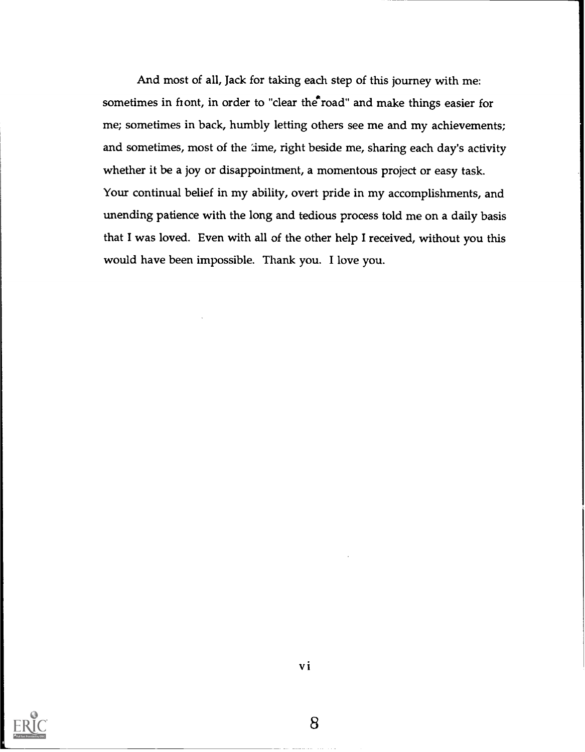And most of all, Jack for taking each step of this journey with me: sometimes in fiont, in order to "clear the road" and make things easier for me; sometimes in back, humbly letting others see me and my achievements; and sometimes, most of the time, right beside me, sharing each day's activity whether it be a joy or disappointment, a momentous project or easy task. Your continual belief in my ability, overt pride in my accomplishments, and unending patience with the long and tedious process told me on a daily basis that I was loved. Even with all of the other help I received, without you this would have been impossible. Thank you. I love you.

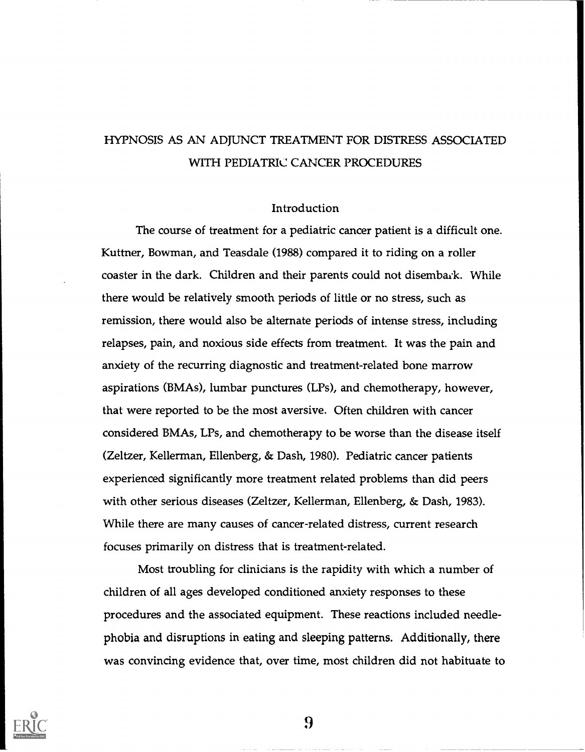## HYPNOSIS AS AN ADJUNCT TREATMENT FOR DISTRESS ASSOCIATED WITH PEDIATRIC CANCER PROCEDURES

#### Introduction

The course of treatment for a pediatric cancer patient is a difficult one. Kuttner, Bowman, and Teasdale (1988) compared it to riding on a roller coaster in the dark. Children and their parents could not disembark. While there would be relatively smooth periods of little or no stress, such as remission, there would also be alternate periods of intense stress, including relapses, pain, and noxious side effects from treatment. It was the pain and anxiety of the recurring diagnostic and treatment-related bone marrow aspirations (BMAs), lumbar punctures (LPs), and chemotherapy, however, that were reported to be the most aversive. Often children with cancer considered BMAs, LPs, and chemotherapy to be worse than the disease itself (Zeltzer, Kellerman, Ellenberg, & Dash, 1980). Pediatric cancer patients experienced significantly more treatment related problems than did peers with other serious diseases (Zeltzer, Kellerman, Ellenberg, & Dash, 1983). While there are many causes of cancer-related distress, current research focuses primarily on distress that is treatment-related.

Most troubling for clinicians is the rapidity with which a number of children of all ages developed conditioned anxiety responses to these procedures and the associated equipment. These reactions included needlephobia and disruptions in eating and sleeping patterns. Additionally, there was convincing evidence that, over time, most children did not habituate to

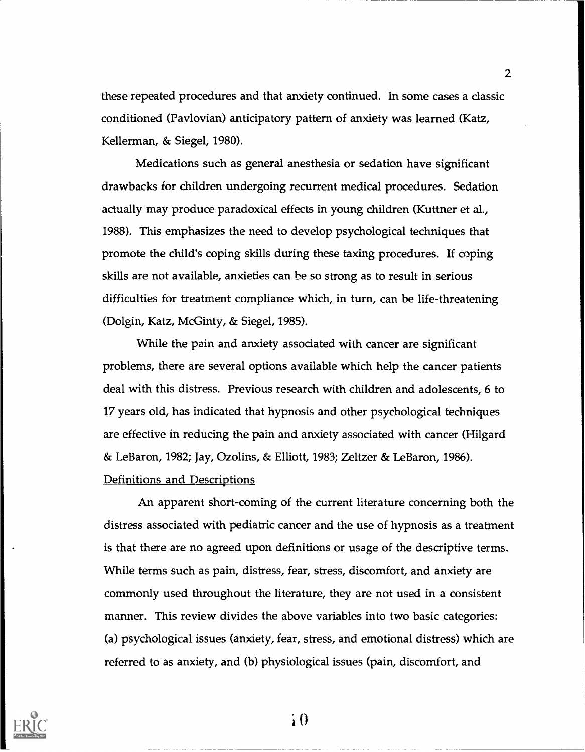these repeated procedures and that anxiety continued. In some cases a classic conditioned (Pavlovian) anticipatory pattern of anxiety was learned (Katz, Kellerman, & Siegel, 1980).

2

Medications such as general anesthesia or sedation have significant drawbacks for children undergoing recurrent medical procedures. Sedation actually may produce paradoxical effects in young children (Kuttner et al., 1988). This emphasizes the need to develop psychological techniques that promote the child's coping skills during these taxing procedures. If coping skills are not available, anxieties can be so strong as to result in serious difficulties for treatment compliance which, in turn, can be life-threatening (Dolgin, Katz, McGinty, & Siegel, 1985).

While the pain and anxiety associated with cancer are significant problems, there are several options available which help the cancer patients deal with this distress. Previous research with children and adolescents, 6 to 17 years old, has indicated that hypnosis and other psychological techniques are effective in reducing the pain and anxiety associated with cancer (Hilgard & LeBaron, 1982; Jay, Ozolins, & Elliott, 1983; Zeltzer & LeBaron, 1986). Definitions and Descriptions

An apparent short-coming of the current literature concerning both the distress associated with pediatric cancer and the use of hypnosis as a treatment is that there are no agreed upon definitions or usage of the descriptive terms. While terms such as pain, distress, fear, stress, discomfort, and anxiety are commonly used throughout the literature, they are not used in a consistent manner. This review divides the above variables into two basic categories: (a) psychological issues (anxiety, fear, stress, and emotional distress) which are referred to as anxiety, and (b) physiological issues (pain, discomfort, and



 $\overline{1}$  0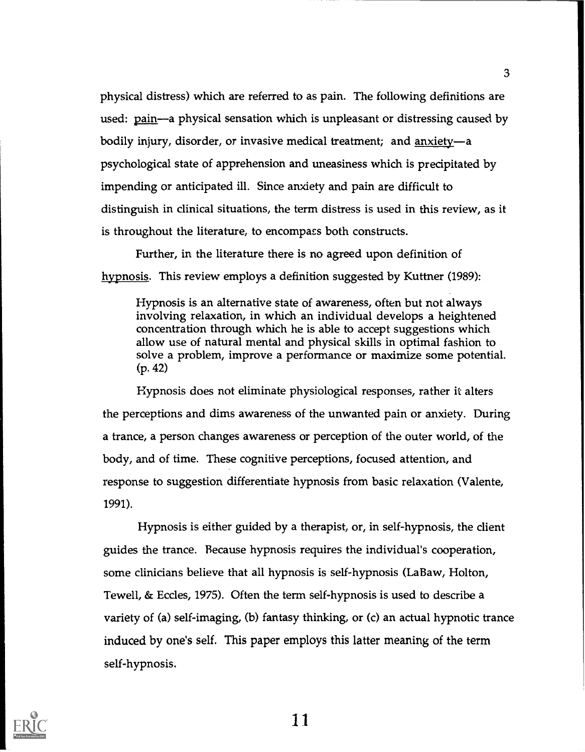physical distress) which are referred to as pain. The following definitions are used: pain—a physical sensation which is unpleasant or distressing caused by bodily injury, disorder, or invasive medical treatment; and  $anxie$ ty-a psychological state of apprehension and uneasiness which is precipitated by impending or anticipated ill. Since anxiety and pain are difficult to distinguish in clinical situations, the term distress is used in this review, as it is throughout the literature, to encompass both constructs.

Further, in the literature there is no agreed upon definition of hypnosis. This review employs a definition suggested by Kuttner (1989):

Hypnosis is an alternative state of awareness, often but not always involving relaxation, in which an individual develops a heightened concentration through which he is able to accept suggestions which allow use of natural mental and physical skills in optimal fashion to solve a problem, improve a performance or maximize some potential. (p. 42)

Hypnosis does not eliminate physiological responses, rather it alters the perceptions and dims awareness of the unwanted pain or anxiety. During a trance, a person changes awareness or perception of the outer world, of the body, and of time. These cognitive perceptions, focused attention, and response to suggestion differentiate hypnosis from basic relaxation (Valente, 1991).

Hypnosis is either guided by a therapist, or, in self-hypnosis, the client guides the trance. Because hypnosis requires the individual's cooperation, some clinicians believe that all hypnosis is self-hypnosis (LaBaw, Holton, Tewell, & Eccles, 1975). Often the term self-hypnosis is used to describe a variety of (a) self-imaging, (b) fantasy thinking, or (c) an actual hypnotic trance induced by one's self. This paper employs this latter meaning of the term self-hypnosis.



1 i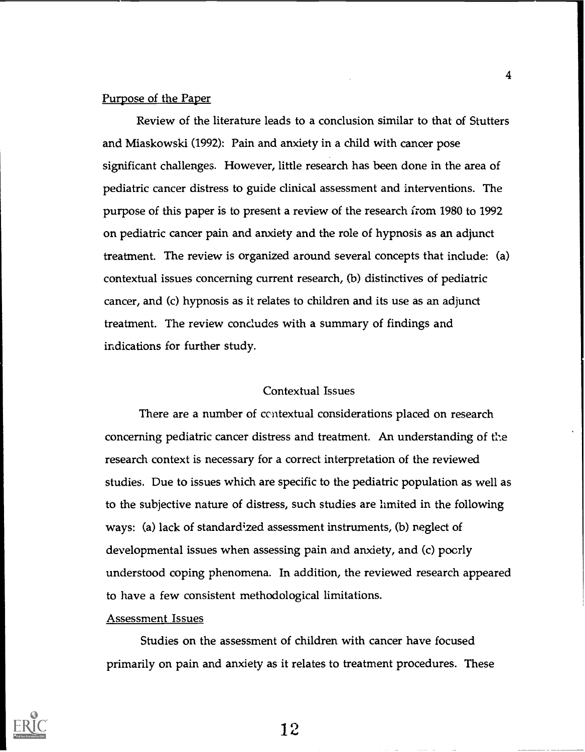#### Purpose of the Paper

Review of the literature leads to a conclusion similar to that of Stutters and Miaskowski (1992): Pain and anxiety in a child with cancer pose significant challenges. However, little research has been done in the area of pediatric cancer distress to guide clinical assessment and interventions. The purpose of this paper is to present a review of the research from 1980 to 1992 on pediatric cancer pain and anxiety and the role of hypnosis as an adjunct treatment. The review is organized around several concepts that indude: (a) contextual issues concerning current research, (b) distinctives of pediatric cancer, and (c) hypnosis as it relates to children and its use as an adjunct treatment. The review concludes with a summary of findings and indications for further study.

#### Contextual Issues

There are a number of ccntextual considerations placed on research concerning pediatric cancer distress and treatment. An understanding of the research context is necessary for a correct interpretation of the reviewed studies. Due to issues which are specific to the pediatric population as well as to the subjective nature of distress, such studies are limited in the following ways: (a) lack of standardized assessment instruments, (b) neglect of developmental issues when assessing pain and anxiety, and (c) poorly understood coping phenomena. In addition, the reviewed research appeared to have a few consistent methodological limitations.

#### Assessment Issues

Studies on the assessment of children with cancer have focused primarily on pain and anxiety as it relates to treatment procedures. These

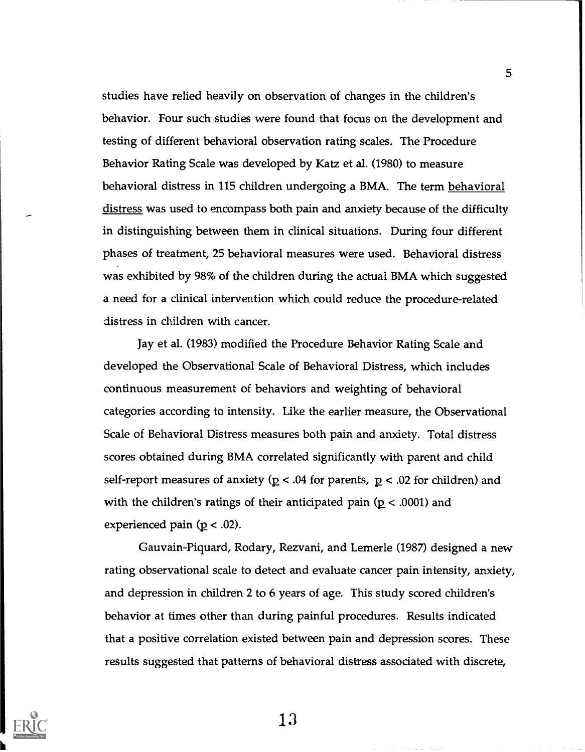studies have relied heavily on observation of changes in the children's behavior. Four such studies were found that focus on the development and testing of different behavioral observation rating scales. The Procedure Behavior Rating Scale was developed by Katz et al. (1980) to measure behavioral distress in 115 children undergoing a BMA. The term behavioral distress was used to encompass both pain and anxiety because of the difficulty in distinguishing between them in clinical situations. During four different phases of treatment, 25 behavioral measures were used. Behavioral distress was exhibited by 98% of the children during the actual BMA which suggested a need for a clinical intervention which could reduce the procedure-related distress in children with cancer.

Jay et al. (1983) modified the Procedure Behavior Rating Scale and developed the Observational Scale of Behavioral Distress, which includes continuous measurement of behaviors and weighting of behavioral categories according to intensity. Like the earlier measure, the Observational Scale of Behavioral Distress measures both pain and anxiety. Total distress scores obtained during BMA correlated significantly with parent and child self-report measures of anxiety ( $p < .04$  for parents,  $p < .02$  for children) and with the children's ratings of their anticipated pain ( $p < .0001$ ) and experienced pain ( $p < .02$ ).

Gauvain-Piquard, Rodary, Rezvani, and Lemerle (1987) designed a new rating observational scale to detect and evaluate cancer pain intensity, anxiety, and depression in children 2 to 6 years of age. This study scored children's behavior at times other than during painful procedures. Results indicated that a positive correlation existed between pain and depression scores. These results suggested that patterns of behavioral distress associated with discrete,



13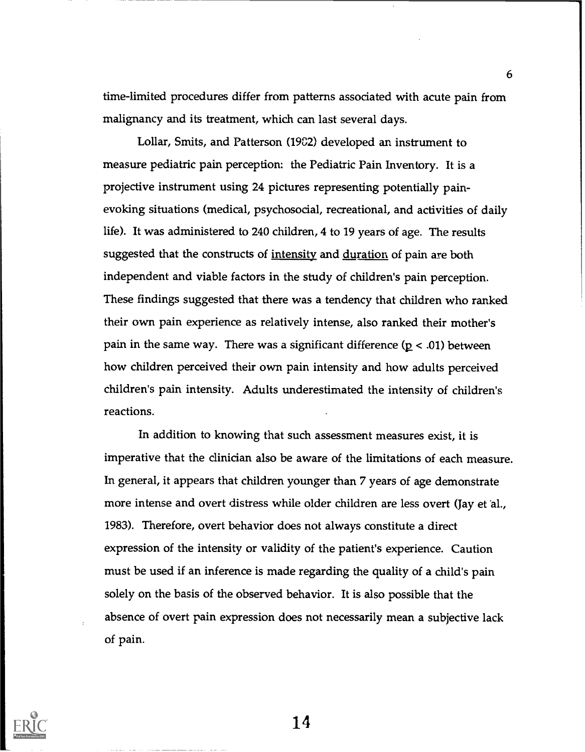time-limited procedures differ from patterns associated with acute pain from malignancy and its treatment, which can last several days.

Lollar, Smits, and Patterson (1982) developed an instrument to measure pediatric pain perception: the Pediatic Pain Inventory. It is a projective instrument using 24 pictures representing potentially painevoking situations (medical, psychosocial, recreational, and activities of daily life). It was administered to 240 children, 4 to 19 years of age. The results suggested that the constructs of <u>intensity</u> and <u>duration</u> of pain are both independent and viable factors in the study of children's pain perception. These findings suggested that there was a tendency that children who ranked their own pain experience as relatively intense, also ranked their mother's pain in the same way. There was a significant difference  $(p < .01)$  between how children perceived their own pain intensity and how adults perceived children's pain intensity. Adults underestimated the intensity of children's reactions.

In addition to knowing that such assessment measures exist, it is imperative that the clinician also be aware of the limitations of each measure. In general, it appears that children younger than 7 years of age demonstrate more intense and overt distress while older children are less overt (Jay et 'al., 1983). Therefore, overt behavior does not always constitute a direct expression of the intensity or validity of the patient's experience. Caution must be used if an inference is made regarding the quality of a child's pain solely on the basis of the observed behavior. It is also possible that the absence of overt pain expression does not necessarily mean a subjective lack of pain.



14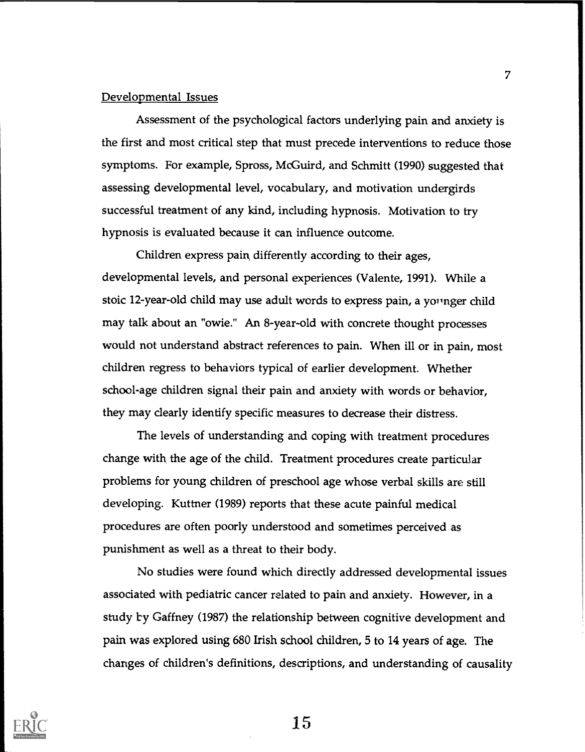#### Developmental Issues

Assessment of the psychological factors underlying pain and anxiety is the first and most critical step that must precede interventions to reduce those symptoms. For example, Spross, McGuird, and Schmitt (1990) suggested that assessing developmental level, vocabulary, and motivation undergirds successful treatment of any kind, including hypnosis. Motivation to try hypnosis is evaluated because it can influence outcome.

Children express pain, differently according to their ages, developmental levels, and personal experiences (Valente, 1991). While a stoic 12-year-old child may use adult words to express pain, a younger child may talk about an "owie." An 8-year-old with concrete thought processes would not understand abstract references to pain. When ill or in pain, most children regress to behaviors typical of earlier development. Whether school-age children signal their pain and anxiety with words or behavior, they may dearly identify specific measures to decrease their distress.

The levels of understanding and coping with treatment procedures change with the age of the child. Treatment procedures create particular problems for young children of preschool age whose verbal skills are still developing. Kuttner (1989) reports that these acute painful medical procedures are often poorly understood and sometimes perceived as punishment as well as a threat to their body.

No studies were found which directly addressed developmental issues associated with pediatric cancer related to pain and anxiety. However, in a study by Gaffney (1987) the relationship between cognitive development and pain was explored using 680 Irish school children, 5 to 14 years of age. The changes of children's definitions, descriptions, and understanding of causality

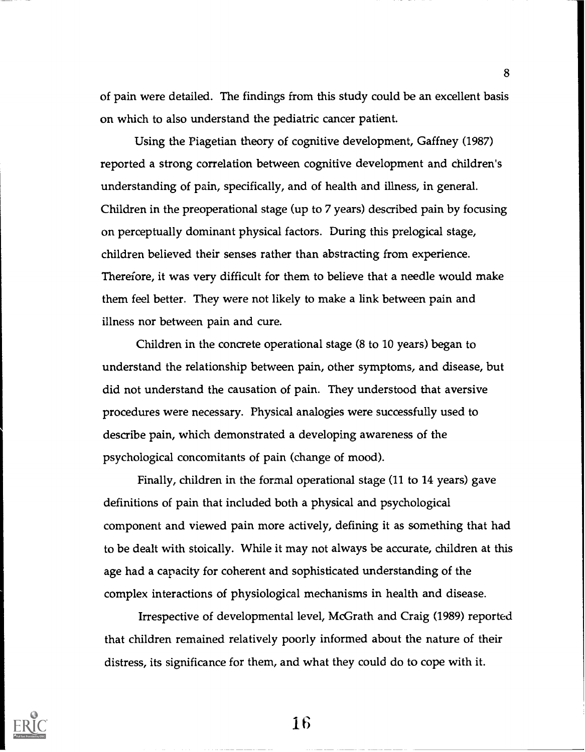of pain were detailed. The findings from this study could be an excellent basis on which to also understand the pediatric cancer patient.

Using the Piagetian theory of cognitive development, Gaffney (1987) reported a strong correlation between cognitive development and children's understanding of pain, specifically, and of health and illness, in general. Children in the preoperational stage (up to 7 years) described pain by focusing on perceptually dominant physical factors. During this prelogical stage, children believed their senses rather than abstracting from experience. Therefore, it was very difficult for them to believe that a needle would make them feel better. They were not likely to make a link between pain and illness nor between pain and cure.

Children in the concrete operational stage (8 to 10 years) began to understand the relationship between pain, other symptoms, and disease, but did not understand the causation of pain. They understood that aversive procedures were necessary. Physical analogies were successfully used to describe pain, which demonstrated a developing awareness of the psychological concomitants of pain (change of mood).

Finally, children in the formal operational stage (11 to 14 years) gave definitions of pain that included both a physical and psychological component and viewed pain more actively, defining it as something that had to be dealt with stoically. While it may not always be accurate, children at this age had a capacity for coherent and sophisticated understanding of the complex interactions of physiological mechanisms in health and disease.

Irrespective of developmental level, McGrath and Craig (1989) reported that children remained relatively poorly informed about the nature of their distress, its significance for them, and what they could do to cope with it.



**16**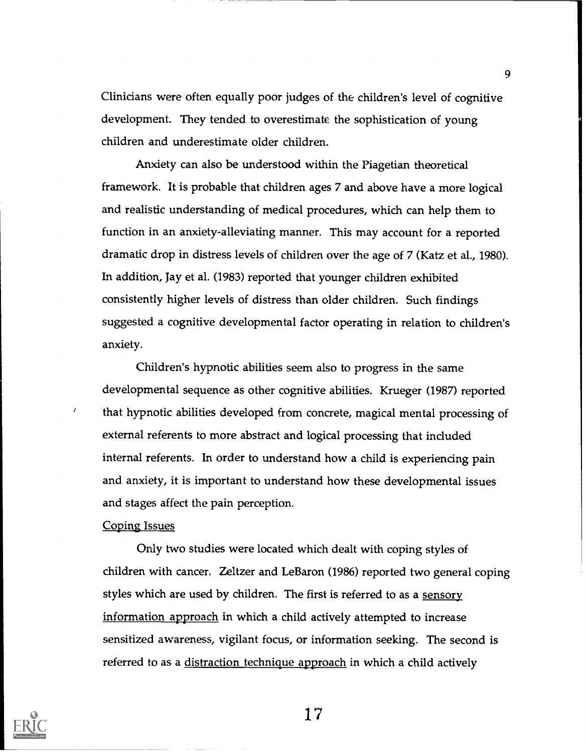Clinicians were often equally poor judges of the children's level of cognitive development. They tended to overestimate the sophistication of young children and underestimate older children.

Anxiety can also be understood within the Piagetian theoretical framework. It is probable that children ages 7 and above have a more logical and realistic understanding of medical procedures, which can help them to function in an anxiety-alleviating manner. This may account for a reported dramatic drop in distress levels of children over the age of 7 (Katz et al., 1980). In addition, Jay et al. (1983) reported that younger children exhibited consistently higher levels of distress than older children. Such findings suggested a cognitive developmental factor operating in relation to children's anxiety.

Children's hypnotic abilities seem also to progress in the same developmental sequence as other cognitive abilities. Krueger (1987) reported that hypnotic abilities developed from concrete, magical mental processing of external referents to more abstract and logical processing that included internal referents. In order to understand how a child is experiencing pain and anxiety, it is important to understand how these developmental issues and stages affect the pain perception.

#### Coping Issues

 $\mathcal{L}$ 

Only two studies were located which dealt with coping styles of children with cancer. Zeltzer and LeBaron (1986) reported two general coping styles which are used by children. The first is referred to as a sensory information approach in which a child actively attempted to increase sensitized awareness, vigilant focus, or information seeking. The second is referred to as a distraction technique approach in which a child actively



17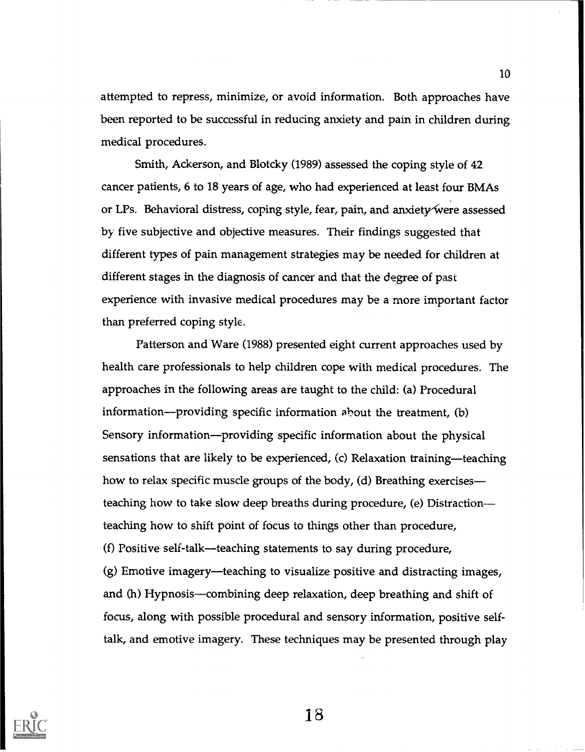attempted to repress, minimize, or avoid information. Both approaches have been reported to be successful in reducing anxiety and pain in children during medical procedures.

Smith, Ackerson, and Blotcky (1989) assessed the coping style of 42 cancer patients, 6 to 18 years of age, who had experienced at least four BMAs or LPs. Behavioral distress, coping style, fear, pain, and anxiety were assessed by five subjective and objective measures. Their findings suggested that different types of pain management strategies may be needed for children at different stages in the diagnosis of cancer and that the degree of past experience with invasive medical procedures may be a more important factor than preferred coping style.

Patterson and Ware (1988) presented eight current approaches used by health care professionals to help children cope with medical procedures. The approaches in the following areas are taught to the child: (a) Procedural information—providing specific information about the treatment,  $(b)$ Sensory information—providing specific information about the physical sensations that are likely to be experienced, (c) Relaxation training-teaching how to relax specific muscle groups of the body, (d) Breathing exercises teaching how to take slow deep breaths during procedure, (e) Distraction teaching how to shift point of focus to things other than procedure, (f) Positive self-talk-teaching statements to say during procedure,  $(g)$  Emotive imagery—teaching to visualize positive and distracting images, and (h) Hypnosis—combining deep relaxation, deep breathing and shift of focus, along with possible procedural and sensory information, positive selftalk, and emotive imagery. These techniques may be presented through play



Is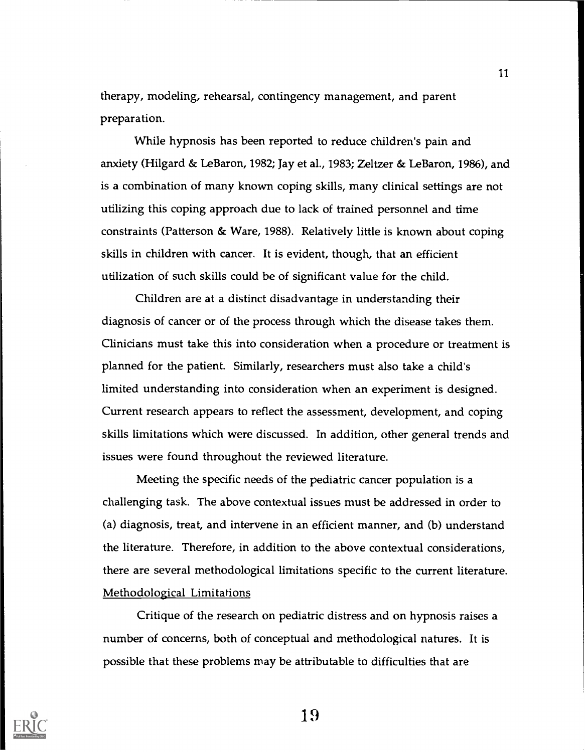therapy, modeling, rehearsal, contingency management, and parent preparation.

While hypnosis has been reported to reduce children's pain and anxiety (Hilgard & LeBaron, 1982; Jay et al., 1983; Zeltzer & LeBaron, 1986), and is a combination of many known coping skills, many clinical settings are not utilizing this coping approach due to lack of trained personnel and time constraints (Patterson & Ware, 1988). Relatively little is known about coping skills in children with cancer. It is evident, though, that an efficient utilization of such skills could be of significant value for the child.

Children are at a distinct disadvantage in understanding their diagnosis of cancer or of the process through which the disease takes them. Clinicians must take this into consideration when a procedure or treatment is planned for the patient. Similarly, researchers must also take a child's limited understanding into consideration when an experiment is designed. Current research appears to reflect the assessment, development, and coping skills limitations which were discussed. In addition, other general trends and issues were found throughout the reviewed literature.

Meeting the specific needs of the pediatric cancer population is a challenging task. The above contextual issues must be addressed in order to (a) diagnosis, treat, and intervene in an efficient manner, and (b) understand the literature. Therefore, in addition to the above contextual considerations, there are several methodological limitations specific to the current literature. Methodological Limitations

Critique of the research on pediatric distress and on hypnosis raises a number of concerns, both of conceptual and methodological natures. It is possible that these problems may be attributable to difficulties that are



I 9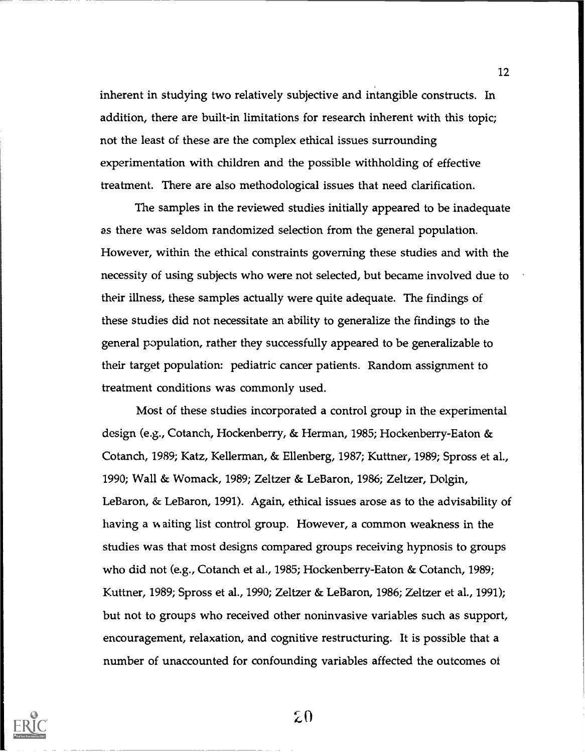inherent in studying two relatively subjective and intangible constructs. In addition, there are built-in limitations for research inherent with this topic; not the least of these are the complex ethical issues surrounding experimentation with children and the possible withholding of effective treatment. There are also methodological issues that need clarification.

The samples in the reviewed studies initially appeared to be inadequate as there was seldom randomized selection from the general population. However, within the ethical constraints governing these studies and with the necessity of using subjects who were not selected, but became involved due to their illness, these samples actually were quite adequate. The findings of these studies did not necessitate an ability to generalize the findings to the general population, rather they successfully appeared to be generalizable to their target population: pediatric cancer patients. Random assigmnent to treatment conditions was commonly used.

Most of these studies incorporated a control group in the experimental design (e.g., Cotanch, Hockenberry, & Herman, 1985; Hockenberry-Eaton & Cotanch, 1989; Katz, Kellerman, & Ellenberg, 1987; Kuttner, 1989; Spross et al., 1990; Wall & Womack, 1989; Zeltzer & LeBaron, 1986; Zeltzer, Dolgin, LeBaron, & LeBaron, 1991). Again, ethical issues arose as to the advisability of having a waiting list control group. However, a common weakness in the studies was that most designs compared groups receiving hypnosis to groups who did not (e.g., Cotanch et al., 1985; Hockenberry-Eaton & Cotanch, 1989; Kuttner, 1989; Spross et al., 1990; Zeltzer & LeBaron, 1986; Zeltzer et al., 1991); but not to groups who received other noninvasive variables such as support, encouragement, relaxation, and cognitive restructuring. It is possible that a number of unaccounted for confounding variables affected the outcomes ot



20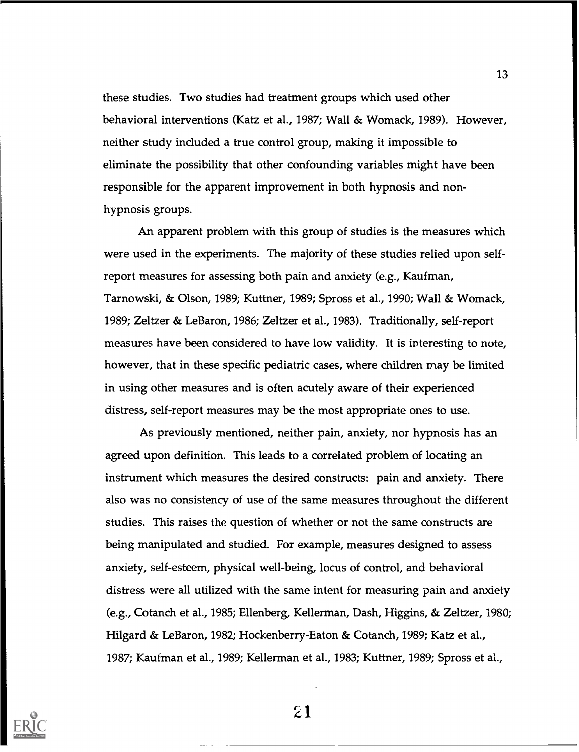these studies. Two studies had treatment groups which used other behavioral interventions (Katz et al., 1987; Wall & Womack, 1989). However, neither study included a true control group, making it impossible to eliminate the possibility that other confounding variables might have been responsible for the apparent improvement in both hypnosis and nonhypnosis groups.

An apparent problem with this group of studies is the measures which were used in the experiments. The majority of these studies relied upon selfreport measures for assessing both pain and anxiety (e.g., Kaufman, Tarnowski, & Olson, 1989; Kuttner, 1989; Spross et al., 1990; Wall & Womack, 1989; Zeltzer & LeBaron, 1986; Zeltzer et al., 1983). Traditionally, self-report measures have been considered to have low validity. It is interesting to note, however, that in these specific pediatric cases, where children may be limited in using other measures and is often acutely aware of their experienced distress, self-report measures may be the most appropriate ones to use.

As previously mentioned, neither pain, anxiety, nor hypnosis has an agreed upon definition. This leads to a correlated problem of locating an instrument which measures the desired constructs: pain and anxiety. There also was no consistency of use of the same measures throughout the different studies. This raises the question of whether or not the same constructs are being manipulated and studied. For example, measures designed to assess anxiety, self-esteem, physical well-being, locus of control, and behavioral distress were all utilized with the same intent for measuring pain and anxiety (e.g., Cotanch et al., 1985; Ellenberg, Kellerman, Dash, Higgins, & Zeltzer, 1980; Hilgard & LeBaron, 1982; Hockenberry-Eaton & Cotanch, 1989; Katz et al., 1987; Kaufman et al., 1989; Kellerman et al., 1983; Kuttner, 1989; Spross et al.,

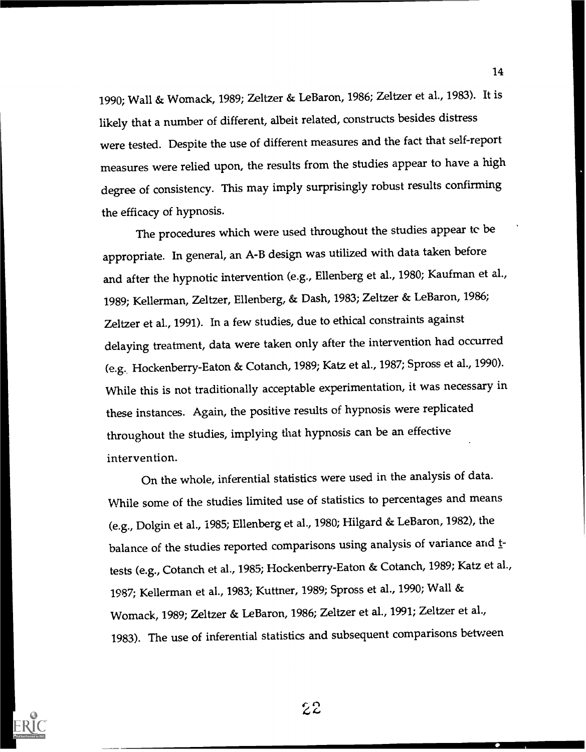1990; Wall & Womack, 1989; Zeltzer & LeBaron, 1986; Zeltzer et al., 1983). It is likely that a number of different, albeit related, constructs besides distress were tested. Despite the use of different measures and the fact that self-report measures were relied upon, the results from the studies appear to have a high degree of consistency. This may imply surprisingly robust results confirming the efficacy of hypnosis.

The procedures which were used throughout the studies appear tc be appropriate. In general, an A-B design was utilized with data taken before and after the hypnotic intervention (e.g., Ellenberg et al., 1980; Kaufman et al.., 1989; Kellerman, Zeltzer, Ellenberg, & Dash, 1983; Zeltzer & LeBaron, 1986; Zeltzer et al., 1991). In a few studies, due to ethical constraints against delaying treatment, data were taken only after the intervention had occurred (e.g.. Hockenberry-Eaton & Cotanch, 1989; Katz et al., 1987; Spross et al., 1990). While this is not traditionally acceptable experimentation, it was necessary in these instances. Again, the positive results of hypnosis were replicated throughout the studies, implying that hypnosis can be an effective intervention.

On the whole, inferential statistics were used in the analysis of data. While some of the studies limited use of statistics to percentages and means (e.g., Dolgin et al., 1985; Ellenberg et al., 1980; Hilgard & LeBaron, 1982), the balance of the studies reported comparisons using analysis of variance and ttests (e.g., Cotanch et al., 1985; Hockenberry-Eaton & Cotanch, 1989; Katz et al., 1987; Kellerman et al., 1983; Kuttner, 1989; Spross et al., 1990; Wall & Womack, 1989; Zeltzer & LeBaron, 1986; Zeltzer et al., 1991; Zeltzer et al., 1983). The use of inferential statistics and subsequent comparisons between

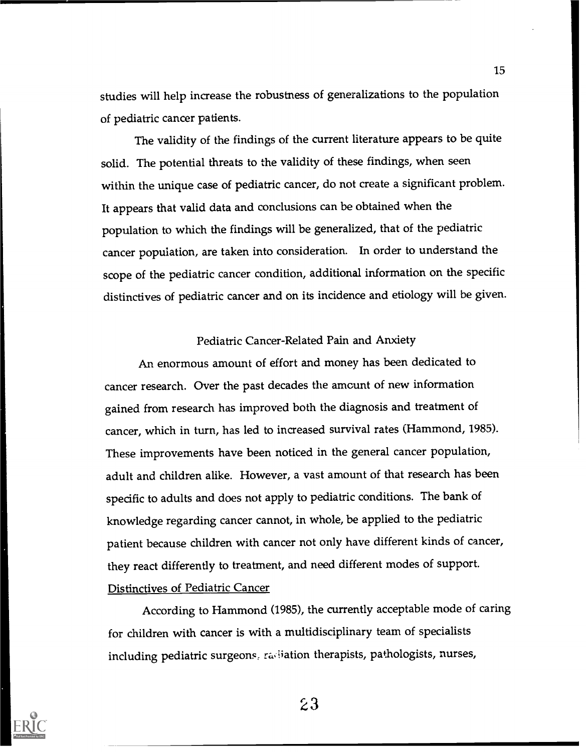studies will help increase the robustness of generalizations to the population of pediatric cancer patients.

The validity of the findings of the current literature appears to be quite solid. The potential threats to the validity of these findings, when seen within the unique case of pediatric cancer, do not create a significant problem. It appears that valid data and conclusions can be obtained when the population to which the findings will be generalized, that of the pediatric cancer population, are taken into consideration. In order to understand the scope of the pediatric cancer condition, additional information on the specific distinctives of pediatric cancer and on its incidence and etiology will be given.

#### Pediatric Cancer-Related Pain and Anxiety

An enormous amount of effort and money has been dedicated to cancer research. Over the past decades the amount of new information gained from research has improved both the diagnosis and treatment of cancer, which in turn, has led to increased survival rates (Hammond, 1985). These improvements have been noticed in the general cancer population, adult and children alike. However, a vast amount of that research has been specific to adults and does not apply to pediatric conditions. The bank of knowledge regarding cancer cannot, in whole, be applied to the pediatric patient because children with cancer not only have different kinds of cancer, they react differently to treatment, and need different modes of support. Distinctives of Pediatric Cancer

According to Hammond (1985), the currently acceptable mode of caring for children with cancer is with a multidisciplinary team of specialists including pediatric surgeons, radiation therapists, pathologists, nurses,



23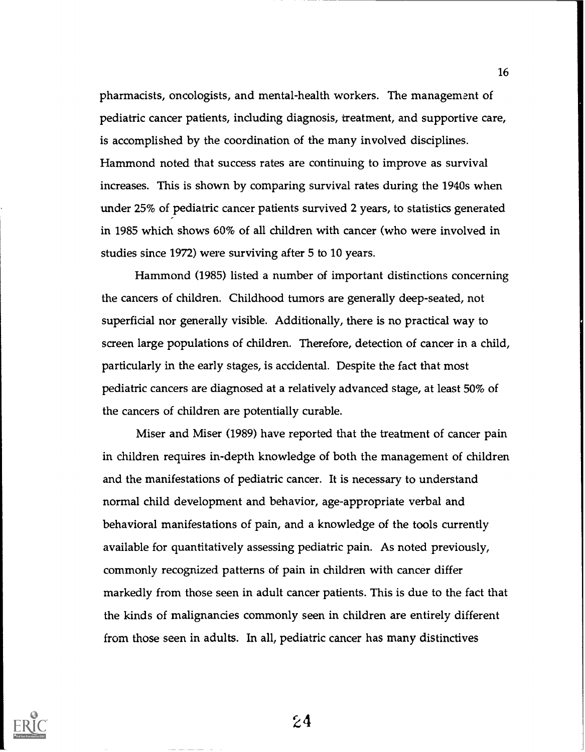pharmacists, oncologists, and mental-health workers. The management of pediatric cancer patients, including diagnosis, treatment, and supportive care, is accomplished by the coordination of the many involved disciplines. Hammond noted that success rates are continuing to improve as survival increases. This is shown by comparing survival rates during the 1940s when under 25% of pediatric cancer patients survived 2 years, to statistics generated in 1985 which shows 60% of all children with cancer (who were involved in studies since 1972) were surviving after 5 to 10 years.

Hammond (1985) listed a number of important distinctions concerning the cancers of children. Childhood tumors are generally deep-seated, not superficial nor generally visible. Additionally, there is no practical way to screen large populations of children. Therefore, detection of cancer in a child, particularly in the early stages, is accidental. Despite the fact that most pediatric cancers are diagnosed at a relatively advanced stage, at least 50% of the cancers of children are potentially curable.

Miser and Miser (1989) have reported that the treatment of cancer pain in children requires in-depth knowledge of both the management of children and the manifestations of pediatric cancer. It is necessary to understand normal child development and behavior, age-appropriate verbal and behavioral manifestations of pain, and a knowledge of the tools currently available for quantitatively assessing pediatric pain. As noted previously, commonly recognized patterns of pain in children with cancer differ markedly from those seen in adult cancer patients. This is due to the fact that the kinds of malignancies commonly seen in children are entirely different from those seen in adults. In all, pediatric cancer has many distinctives



 $24$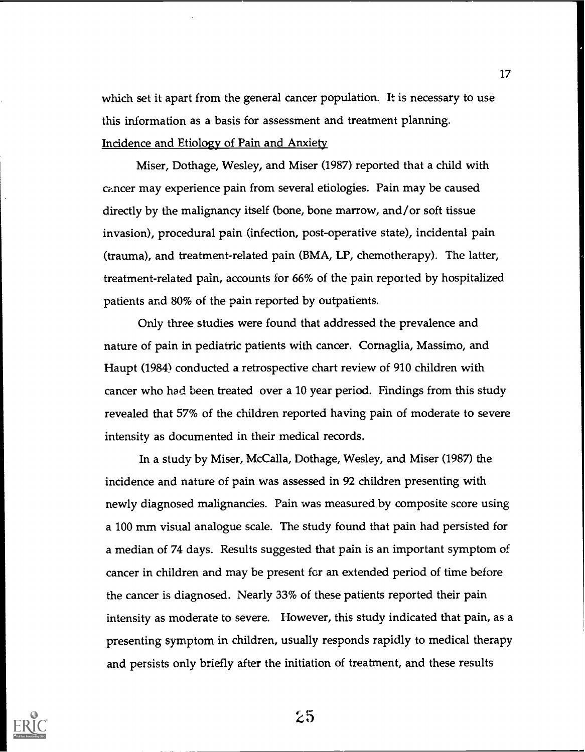which set it apart from the general cancer population. It is necessary to use this information as a basis for assessment and treatment planning. Incidence and Etiology of Pain and Anxiety

Miser, Dothage, Wesley, and Miser (1987) reported that a child with cancer may experience pain from several etiologies. Pain may be caused directly by the malignancy itself (bone, bone marrow, and/or soft tissue invasion), procedural pain (infection, post-operative state), incidental pain (trauma), and treatment-related pain (BMA, LP, chemotherapy). The latter, treatment-related pain, accounts for 66% of the pain reported by hospitalized patients and 80% of the pain reported by outpatients.

Only three studies were found that addressed the prevalence and nature of pain in pediatric patients with cancer. Cornaglia, Massimo, and Haupt (1984) conducted a retrospective chart review of 910 children with cancer who had been treated over a 10 year period. Findings from this study revealed that 57% of the children reported having pain of moderate to severe intensity as documented in their medical records.

In a study by Miser, McCalla, Dothage, Wesley, and Miser (1987) the incidence and nature of pain was assessed in 92 children presenting with newly diagnosed malignancies. Pain was measured by composite score using a 100 mm visual analogue scale. The study found that pain had persisted for a median of 74 days. Results suggested that pain is an important symptom of cancer in children and may be present fcr an extended period of time before the cancer is diagnosed. Nearly 33% of these patients reported their pain intensity as moderate to severe. However, this study indicated that pain, as a presenting symptom in children, usually responds rapidly to medical therapy and persists only briefly after the initiation of treatment, and these results

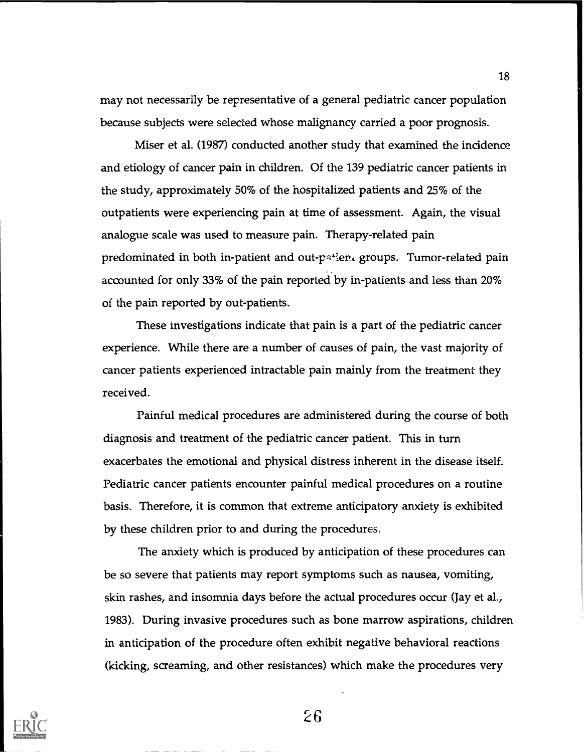may not necessarily be representative of a general pediatric cancer population because subjects were selected whose malignancy carried a poor prognosis.

Miser et al. (1987) conducted another study that examined the incidence and etiology of cancer pain in children. Of the 139 pediatric cancer patients in the study, approximately 50% of the hospitalized patients and 25% of the outpatients were experiencing pain at time of assessment. Again, the visual analogue scale was used to measure pain. Therapy-related pain predominated in both in-patient and out- $p^a$ : en. groups. Tumor-related pain accounted for only 33% of the pain reported by in-patients and less than 20% of the pain reported by out-patients.

These investigations indicate that pain is a part of the pediatric cancer experience. While there are a number of causes of pain, the vast majority of cancer patients experienced intractable pain mainly from the treatment they received.

Painful medical procedures are administered during the course of both diagnosis and treatment of the pediatric cancer patient. This in turn exacerbates the emotional and physical distress inherent in the disease itself. Pediatric cancer patients encounter painful medical procedures on a routine basis. Therefore, it is common that extreme anticipatory anxiety is exhibited by these children prior to and during the procedures.

The anxiety which is produced by anticipation of these procedures can be so severe that patients may report symptoms such as nausea, vomiting, skin rashes, and insomnia days before the actual procedures occur (Jay et al., 1983). During invasive procedures such as bone marrow aspirations, children in anticipation of the procedure often exhibit negative behavioral reactions (kicking, screaming, and other resistances) which make the procedures very



26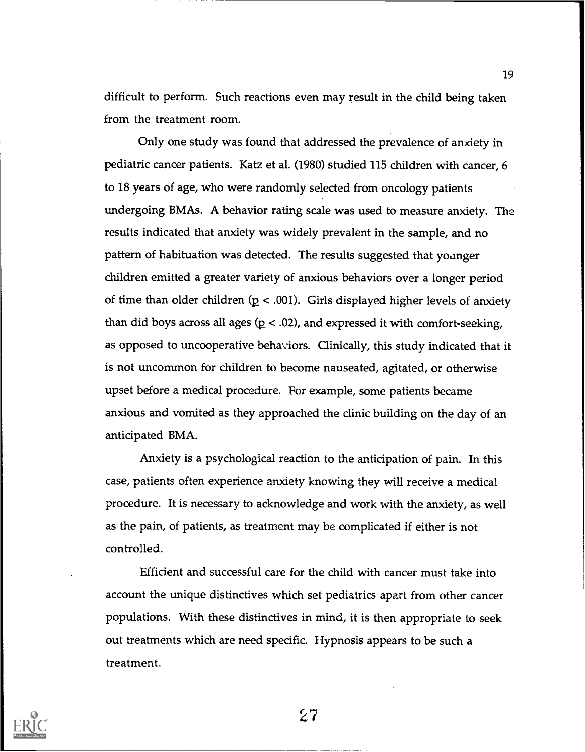difficult to perform. Such reactions even may result in the child being taken from the treatment room.

Only one study was found that addressed the prevalence of anxiety in pediatric cancer patients. Katz et al. (1980) studied 115 children with cancer, 6 to 18 years of age, who were randomly selected from oncology patients undergoing BMAs. A behavior rating scale was used to measure anxiety. The results indicated that anxiety was widely prevalent in the sample, and no pattern of habituation was detected. The results suggested that younger children emitted a greater variety of anxious behaviors over a longer period of time than older children ( $p < .001$ ). Girls displayed higher levels of anxiety than did boys across all ages ( $p < .02$ ), and expressed it with comfort-seeking, as opposed to uncooperative behaviors. Clinically, this study indicated that it is not uncommon for children to become nauseated, agitated, or otherwise upset before a medical procedure. For example, some patients became anxious and vomited as they approached the clinic building on the day of an anticipated BMA.

Anxiety is a psychological reaction to the anticipation of pain. In this case, patients often experience anxiety knowing they will receive a medical procedure. It is necessary to acknowledge and work with the anxiety, as well as the pain, of patients, as treatment may be complicated if either is not controlled.

Efficient and successful care for the child with cancer must take into account the unique distinctives which set pediatrics apart from other cancer populations. With these distinctives in mind, it is then appropriate to seek out treatments which are need specific. Hypnosis appears to be such a treatment.



27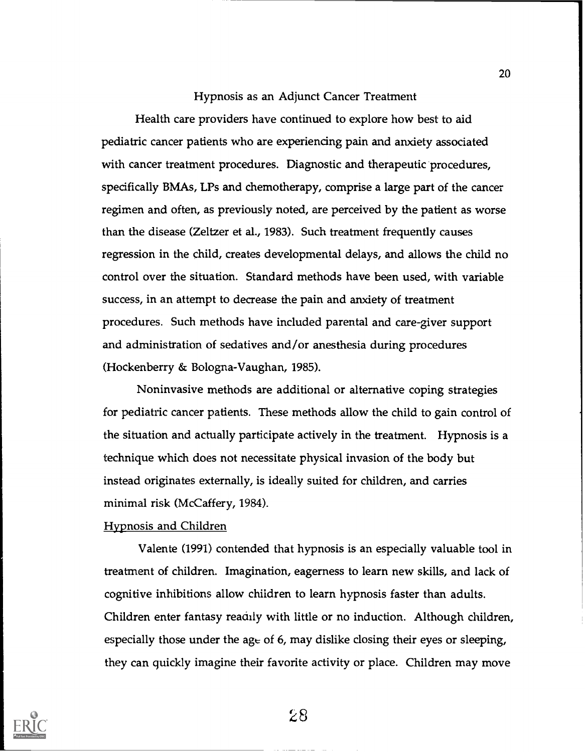#### Hypnosis as an Adjunct Cancer Treatment

Health care providers have continued to explore how best to aid pediatric cancer patients who are experiencing pain and anxiety associated with cancer treatment procedures. Diagnostic and therapeutic procedures, specifically BMAs, LPs and chemotherapy, comprise a large part of the cancer regimen and often, as previously noted, are perceived by the patient as worse than the disease (Zeltzer et al., 1983). Such treatment frequently causes regression in the child, creates developmental delays, and allows the child no control over the situation. Standard methods have been used, with variable success, in an attempt to decrease the pain and anxiety of treatment procedures. Such methods have included parental and care-giver support and administration of sedatives and/or anesthesia during procedures (Hockenberry & Bologna-Vaughan, 1985).

Noninvasive methods are additional or alternative coping strategies for pediatric cancer patients. These methods allow the child to gain control of the situation and actually participate actively in the treatment. Hypnosis is a technique which does not necessitate physical invasion of the body but instead originates externally, is ideally suited for children, and carries minimal risk (McCaffery, 1984).

#### Hypnosis and Children

Valente (1991) contended that hypnosis is an especially valuable tool in treatment of children. Imagination, eagerness to learn new skills, and lack of cognitive inhibitions allow children to learn hypnosis faster than adults. Children enter fantasy readily with little or no induction. Although children, especially those under the age of 6, may dislike closing their eyes or sleeping, they can quickly imagine their favorite activity or place. Children may move



 $28$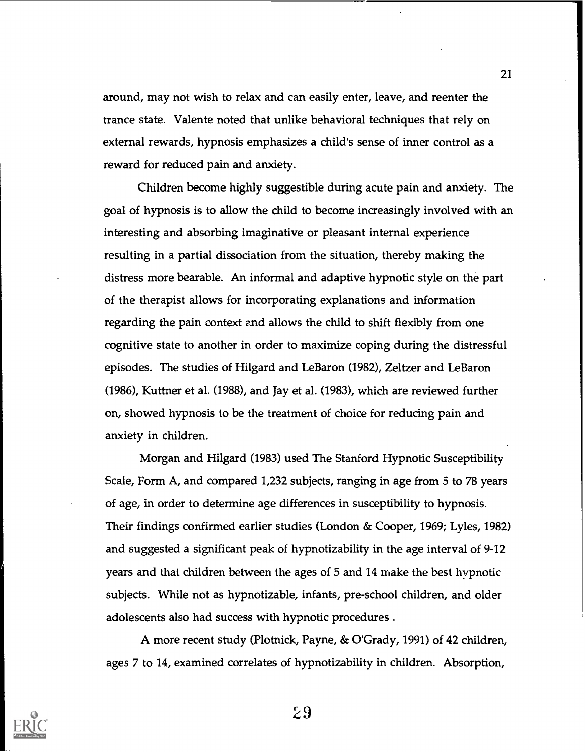around, may not wish to relax and can easily enter, leave, and reenter the trance state. Valente noted that unlike behavioral techniques that rely on external rewards, hypnosis emphasizes a child's sense of inner control as a reward for reduced pain and anxiety.

Children become highly suggestible during acute pain and anxiety. The goal of hypnosis is to allow the child to become increasingly involved with an interesting and absorbing imaginative or pleasant internal experience resulting in a partial dissociation from the situation, thereby making the distress more bearable. An informal and adaptive hypnotic style on the part of the therapist allows for incorporating explanations and information regarding the pain context and allows the child to shift flexibly from one cognitive state to another in order to maximize coping during the distressful episodes. The studies of Hilgard and LeBaron (1982), Zeltzer and LeBaron (1986), Kuttner et al. (1988), and Jay et al. (1983), which are reviewed further on, showed hypnosis to be the treatment of choice for reducing pain and anxiety in children.

Morgan and Hilgard (1983) used The Stanford Hypnotic Susceptibility Scale, Form A, and compared 1,232 subjects, ranging in age from 5 to 78 years of age, in order to determine age differences in susceptibility to hypnosis. Their findings confirmed earlier studies (London & Cooper, 1969; Lyles, 1982) and suggested a significant peak of hypnotizability in the age interval of 9-12 years and that children between the ages of 5 and 14 make the best hypnotic subjects. While not as hypnotizable, infants, pre-school children, and older adolescents also had success with hypnotic procedures .

A more recent study (Plotnick, Payne, & O'Grady, 1991) of 42 children, ages 7 to 14, examined correlates of hypnotizability in children. Absorption,



29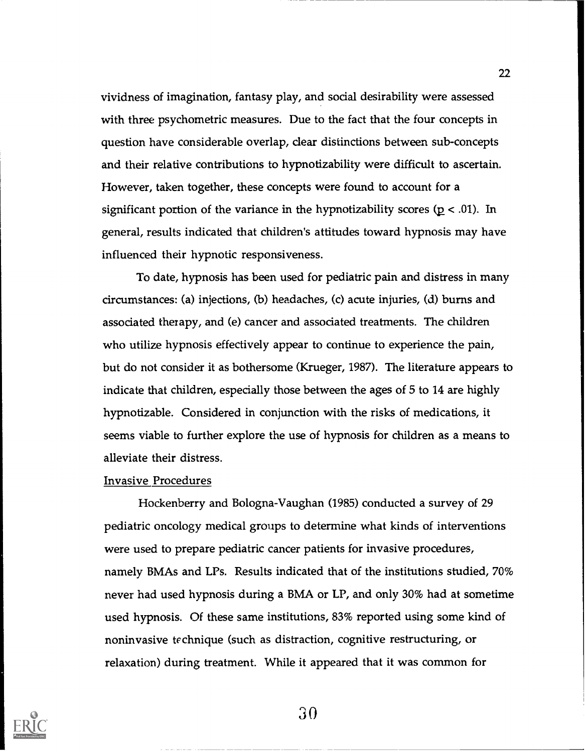vividness of imagination, fantasy play, and social desirability were assessed with three psychometric measures. Due to the fact that the four concepts in question have considerable overlap, dear distinctions between sub-concepts and their relative contributions to hypnotizability were difficult to ascertain. However, taken together, these concepts were found to account for a significant portion of the variance in the hypnotizability scores ( $p < .01$ ). In general, results indicated that children's attitudes toward hypnosis may have influenced their hypnotic responsiveness.

To date, hypnosis has been used for pediatric pain and distress in many circumstances: (a) injections, (b) headaches, (c) acute injuries, (d) burns and associated therapy, and (e) cancer and associated treatments. The children who utilize hypnosis effectively appear to continue to experience the pain, but do not consider it as bothersome (Krueger, 1987). The literature appears to indicate that children, especially those between the ages of 5 to 14 are highly hypnotizable. Considered in conjunction with the risks of medications, it seems viable to further explore the use of hypnosis for children as a means to alleviate their distress.

#### Invasive Procedures

Hockenberry and Bologna-Vaughan (1985) conducted a survey of 29 pediatric oncology medical groups to determine what kinds of interventions were used to prepare pediatric cancer patients for invasive procedures, namely BMAs and LPs. Results indicated that of the institutions studied, 70% never had used hypnosis during a BMA or LP, and only 30% had at sometime used hypnosis. Of these same institutions, 83% reported using some kind of noninvasive te chnique (such as distraction, cognitive restructuring, or relaxation) during treatment. While it appeared that it was common for



30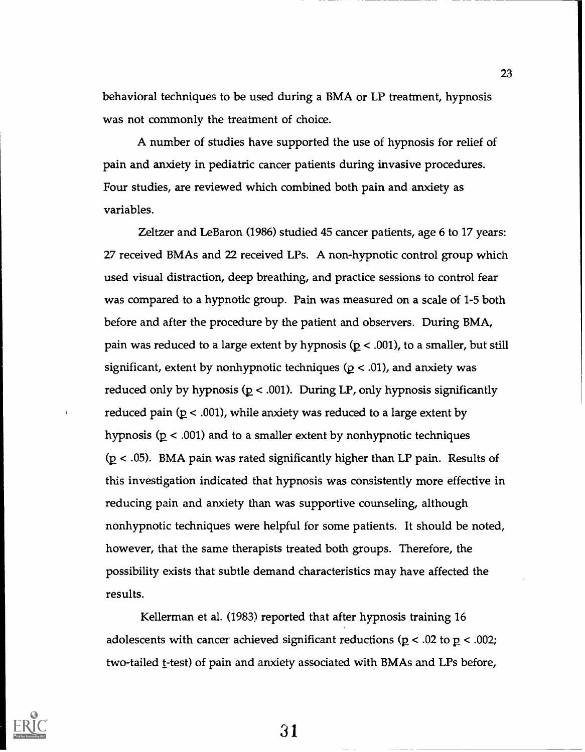behavioral techniques to be used during a BMA or LP treatment, hypnosis was not commonly the treatment of choice.

A number of studies have supported the use of hypnosis for relief of pain and anxiety in pediatric cancer patients during invasive procedures. Four studies, are reviewed which combined both pain and anxiety as variables.

Zeltzer and LeBaron (1986) studied 45 cancer patients, age 6 to 17 years: 27 received BMAs and 22 received LPs. A non-hypnotic control group which used visual distraction, deep breathing, and practice sessions to control fear was compared to a hypnotic group. Pain was measured on a scale of 1-5 both before and after the procedure by the patient and observers. During BMA, pain was reduced to a large extent by hypnosis ( $p < .001$ ), to a smaller, but still significant, extent by nonhypnotic techniques ( $p < .01$ ), and anxiety was reduced only by hypnosis ( $p < .001$ ). During LP, only hypnosis significantly reduced pain ( $p < .001$ ), while anxiety was reduced to a large extent by hypnosis ( $p < .001$ ) and to a smaller extent by nonhypnotic techniques  $(p < .05)$ . BMA pain was rated significantly higher than LP pain. Results of this investigation indicated that hypnosis was consistently more effective in reducing pain and anxiety than was supportive counseling, although nonhypnotic techniques were helpful for some patients. It should be noted, however, that the same therapists treated both groups. Therefore, the possibility exists that subtle demand characteristics may have affected the results.

Kellerman et al. (1983) reported that after hypnosis training 16 adolescents with cancer achieved significant reductions ( $p < .02$  to  $p < .002$ ; two-tailed t-test) of pain and anxiety associated with BMAs and LPs before,

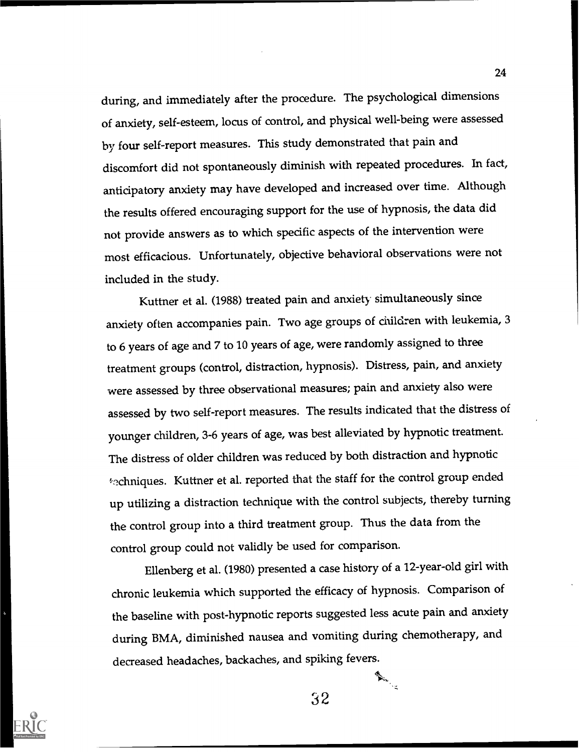during, and immediately after the procedure. The psychological dimensions of anxiety, self-esteem, locus of control, and physical well-being were assessed by four self-report measures. This study demonstrated that pain and discomfort did not spontaneously diminish with repeated procedures. In fact, anticipatory anxiety may have developed and increased over time. Although the results offered encouraging support for the use of hypnosis, the data did not provide answers as to which specific aspects of the intervention were most efficacious. Unfortunately, objective behavioral observations were not included in the study.

Kuttner et al. (1988) treated pain and anxiety simultaneously since anxiety often accompanies pain. Two age groups of children with leukemia, 3 to 6 years of age and 7 to 10 years of age, were randomly assigned to three treatment groups (control, distraction, hypnosis). Distress, pain, and anxiety were assessed by three observational measures; pain and anxiety also were assessed by two self-report measures. The results indicated that the distress of younger children, 3-6 years of age, was best alleviated by hypnotic treatment. The distress of older children was reduced by both distraction and hypnotic the chniques. Kuttner et al. reported that the staff for the control group ended up utilizing a distraction technique with the control subjects, thereby turning the control group into a third treatment group. Thus the data from the control group could not validly be used for comparison.

Ellenberg et al. (1980) presented a case history of a 12-year-old girl with chronic leukemia which supported the efficacy of hypnosis. Comparison of the baseline with post-hypnotic reports suggested less acute pain and anxiety during BMA, diminished nausea and vomiting during chemotherapy, and decreased headaches, backaches, and spiking fevers.<br>  $\begin{picture}(16,17) \put(0,0){\vector(1,0){18}} \put(0,0){\vector(1,0){18}} \put(0,0){\vector(1,0){18}} \put(0,0){\vector(1,0){18}} \put(0,0){\vector(1,0){18}} \put(0,0){\vector(1,0){18}} \put(0,0){\vector(1,0){18}} \put(0,0){\vector(1,0){18}} \put(0,0){\vector(1,0){18}} \put($ 



32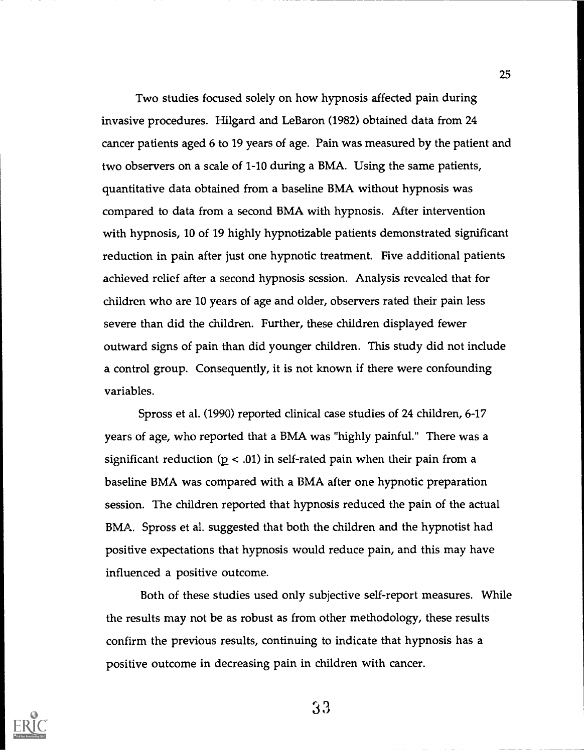Two studies focused solely on how hypnosis affected pain during invasive procedures. Hilgard and LeBaron (1982) obtained data from 24 cancer patients aged 6 to 19 years of age. Pain was measured by the patient and two observers on a scale of 1-10 during a BMA. Using the same patients, quantitative data obtained from a baseline BMA without hypnosis was compared to data from a second BMA with hypnosis. After intervention with hypnosis, 10 of 19 highly hypnotizable patients demonstrated significant reduction in pain after just one hypnotic treatment. Five additional patients achieved relief after a second hypnosis session. Analysis revealed that for children who are 10 years of age and older, observers rated their pain less severe than did the children. Further, these children displayed fewer outward signs of pain than did younger children. This study did not include a control group. Consequently, it is not known if there were confounding variables.

Spross et aL (1990) reported clinical case studies of 24 children, 6-17 years of age, who reported that a BMA was "highly painful." There was a significant reduction ( $p < .01$ ) in self-rated pain when their pain from a baseline BMA was compared with a BMA after one hypnotic preparation session. The children reported that hypnosis reduced the pain of the actual BMA. Spross et al. suggested that both the children and the hypnotist had positive expectations that hypnosis would reduce pain, and this may have influenced a positive outcome.

Both of these studies used only subjective self-report measures. While the results may not be as robust as from other methodology, these results confirm the previous results, continuing to indicate that hypnosis has a positive outcome in decreasing pain in children with cancer.

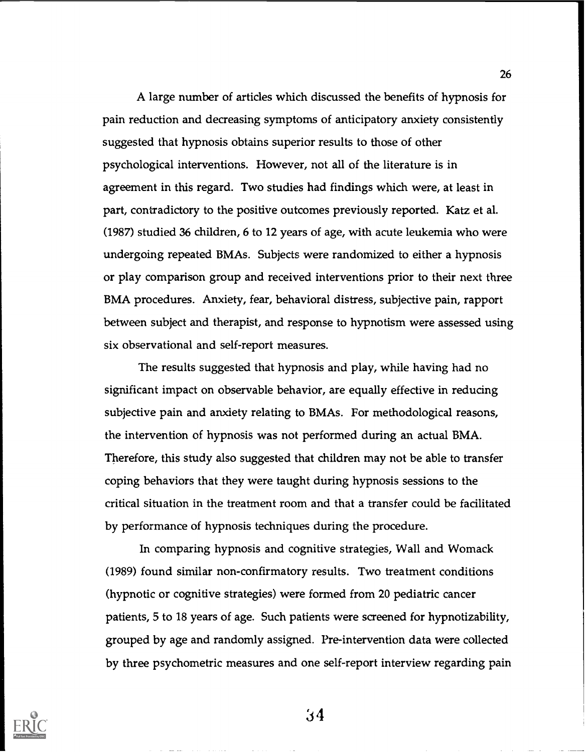A large number of articles which discussed the benefits of hypnosis for pain reduction and decreasing symptoms of anticipatory anxiety consistently suggested that hypnosis obtains superior results to those of other psychological interventions. However, not all of the literature is in agreement in this regard. Two studies had findings which were, at least in part, contradictory to the positive outcomes previously reported. Katz et al. (1987) studied 36 children, 6 to 12 years of age, with acute leukemia who were undergoing repeated BMAs. Subjects were randomized to either a hypnosis or play comparison group and received interventions prior to their next three BMA procedures. Anxiety, fear, behavioral distress, subjective pain, rapport between subject and therapist, and response to hypnotism were assessed using six observational and self-report measures.

The results suggested that hypnosis and play, while having had no significant impact on observable behavior, are equally effective in reducing subjective pain and anxiety relating to BMAs. For methodological reasons, the intervention of hypnosis was not performed during an actual BMA. Therefore, this study also suggested that children may not be able to transfer coping behaviors that they were taught during hypnosis sessions to the critical situation in the treatment room and that a transfer could be facilitated by performance of hypnosis techniques during the procedure.

In comparing hypnosis and cognitive strategies, Wall and Womack (1989) found similar non-confirmatory results. Two treatment conditions (hypnotic or cognitive strategies) were formed from 20 pediatric cancer patients, 5 to 18 years of age. Such patients were screened for hypnotizability, grouped by age and randomly assigned. Pre-intervention data were collected by three psychometric measures and one self-report interview regarding pain



 $34$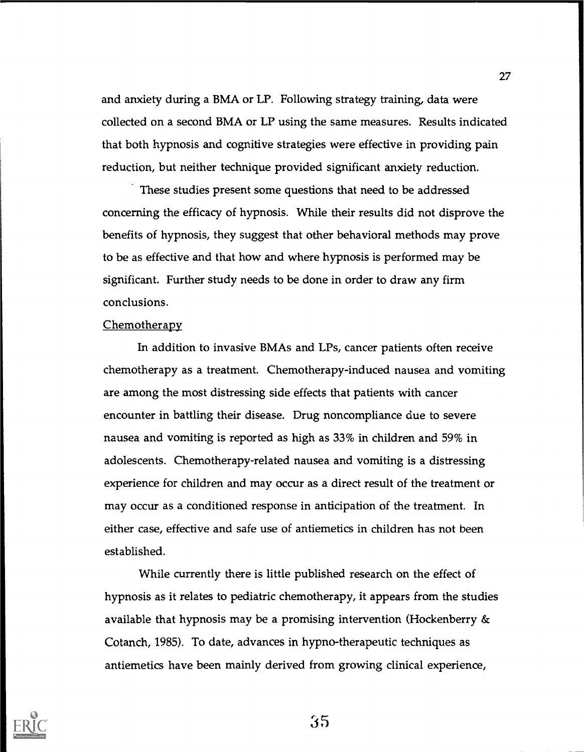and anxiety during a BMA or LP. Following strategy training, data were collected on a second BMA or LP using the same measures. Results indicated that both hypnosis and cognitive strategies were effective in providing pain reduction, but neither technique provided significant anxiety reduction.

These studies present some questions that need to be addressed concerning the efficacy of hypnosis. While their results did not disprove the benefits of hypnosis, they suggest that other behavioral methods may prove to be as effective and that how and where hypnosis is performed may be significant. Further study needs to be done in order to draw any firm conclusions.

#### **Chemotherapy**

In addition to invasive BMAs and LPs, cancer patients often receive chemotherapy as a treatment. Chemotherapy-induced nausea and vomiting are among the most distressing side effects that patients with cancer encounter in battling their disease. Drug noncompliance due to severe nausea and vomiting is reported as high as 33% in children and 59% in adolescents. Chemotherapy-related nausea and vomiting is a distressing experience for children and may occur as a direct result of the treatment or may occur as a conditioned response in anticipation of the treatment. In either case, effective and safe use of antiemetics in children has not been established.

While currently there is little published research on the effect of hypnosis as it relates to pediatric chemotherapy, it appears from the studies available that hypnosis may be a promising intervention (Hockenberry & Cotanch, 1985). To date, advances in hypno-therapeutic techniques as antiemetics have been mainly derived from growing clinical experience,



 $35$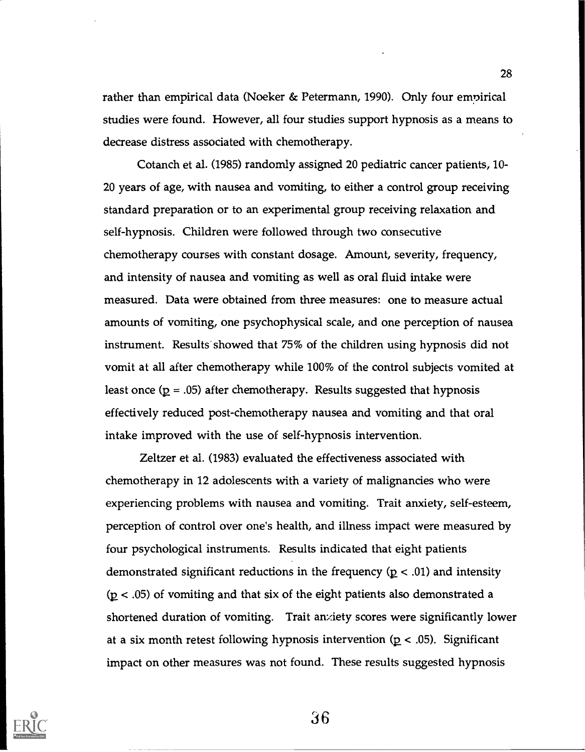rather than empirical data (Noeker & Petermann, 1990). Only four empirical studies were found. However, all four studies support hypnosis as a means to decrease distress associated with chemotherapy.

Cotanch et al. (1985) randomly assigned 20 pediatric cancer patients, 10- 20 years of age, with nausea and vomiting, to either a control group receiving standard preparation or to an experimental group receiving relaxation and self-hypnosis. Children were followed through two consecutive chemotherapy courses with constant dosage. Amount, severity, frequency, and intensity of nausea and vomiting as well as oral fluid intake were measured. Data were obtained from three measures: one to measure actual amounts of vomiting, one psychophysical scale, and one perception of nausea instrument. Results showed that 75% of the children using hypnosis did not vomit at all after chemotherapy while 100% of the control subjects vomited at least once ( $p = .05$ ) after chemotherapy. Results suggested that hypnosis effectively reduced post-chemotherapy nausea and vomiting and that oral intake improved with the use of self-hypnosis intervention.

Zeltzer et al. (1983) evaluated the effectiveness associated with chemotherapy in 12 adolescents with a variety of malignancies who were experiencing problems with nausea and vomiting. Trait anxiety, self-esteem, perception of control over one's health, and illness impact were measured by four psychological instruments. Results indicated that eight patients demonstrated significant reductions in the frequency ( $p < .01$ ) and intensity  $(p < .05)$  of vomiting and that six of the eight patients also demonstrated a shortened duration of vomiting. Trait anxiety scores were significantly lower at a six month retest following hypnosis intervention ( $p < .05$ ). Significant impact on other measures was not found. These results suggested hypnosis

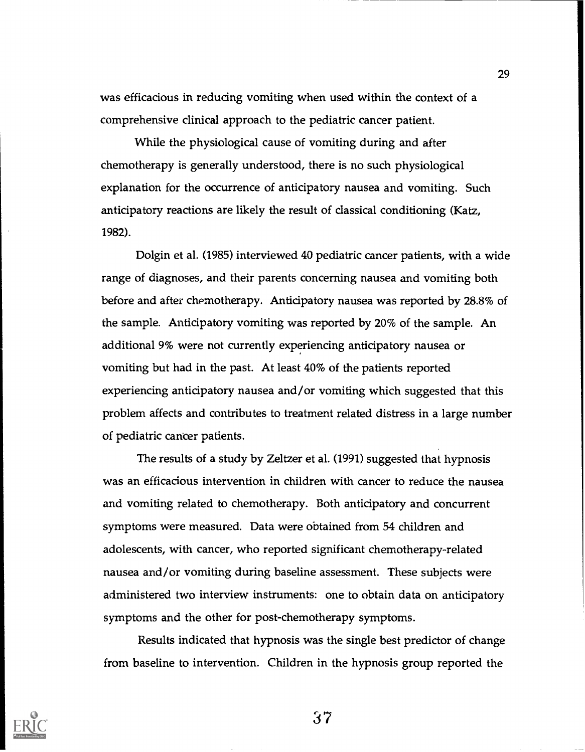was efficacious in redudng vomiting when used within the context of a comprehensive clinical approach to the pediatric cancer patient.

While the physiological cause of vomiting during and after chemotherapy is generally understood, there is no such physiological explanation for the occurrence of anticipatory nausea and vomiting. Such anticipatory reactions are likely the result of classical conditioning (Katz, 1982).

Dolgin et al. (1985) interviewed 40 pediatric cancer patients, with a wide range of diagnoses, and their parents concerning nausea and vomiting both before and after chemotherapy. Anticipatory nausea was reported by 28.8% of the sample. Anticipatory vomiting was reported by 20% of the sample. An additional 9% were not currently experiencing anticipatory nausea or vomiting but had in the past. At least 40% of the patients reported experiencing anticipatory nausea and/or vomiting which suggested that this problem affects and contributes to treatment related distress in a large number of pediatric cancer patients.

The results of a study by Zeltzer et al. (1991) suggested that hypnosis was an efficacious intervention in children with cancer to reduce the nausea and vomiting related to chemotherapy. Both anticipatory and concurrent symptoms were measured. Data were obtained from <sup>54</sup> children and adolescents, with cancer, who reported significant chemotherapy-related nausea and/or vomiting during baseline assessment. These subjects were administered two interview instruments: one to obtain data on anticipatory symptoms and the other for post-chemotherapy symptoms.

Results indicated that hypnosis was the single best predictor of change from baseline to intervention. Children in the hypnosis group reported the



37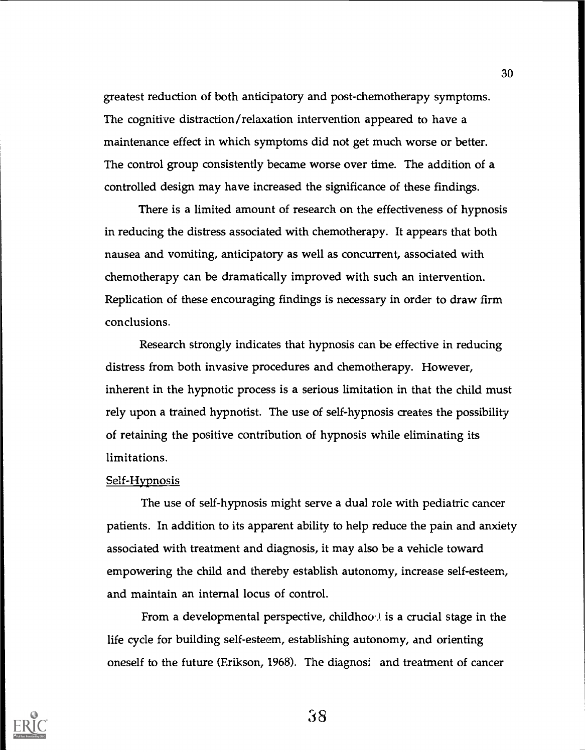greatest reduction of both anticipatory and post-chemotherapy symptoms. The cognitive distraction/relaxation intervention appeared to have a maintenance effect in which symptoms did not get much worse or better. The control group consistently became worse over time. The addition of a controlled design may have increased the significance of these findings.

There is a limited amount of research on the effectiveness of hypnosis in reducing the distress associated with chemotherapy. It appears that both nausea and vomiting, anticipatory as well as concurrent, associated with chemotherapy can be dramatically improved with such an intervention. Replication of these encouraging findings is necessary in order to draw firm conclusions.

Research strongly indicates that hypnosis can be effective in reducing distress from both invasive procedures and chemotherapy. However, inherent in the hypnotic process is a serious limitation in that the child must rely upon a trained hypnotist. The use of self-hypnosis creates the possibility of retaining the positive contribution of hypnosis while eliminating its limitations.

#### Self-Hypnosis

The use of self-hypnosis might serve a dual role with pediatric cancer patients. In addition to its apparent ability to help reduce the pain and anxiety associated with treatment and diagnosis, it may also be a vehicle toward empowering the child and thereby establish autonomy, increase self-esteem, and maintain an internal locus of control.

From a developmental perspective, childhoo $\lambda$  is a crucial stage in the life cycle for building self-esteem, establishing autonomy, and orienting oneself to the future (Erikson, 1968). The diagnosi and treatment of cancer



38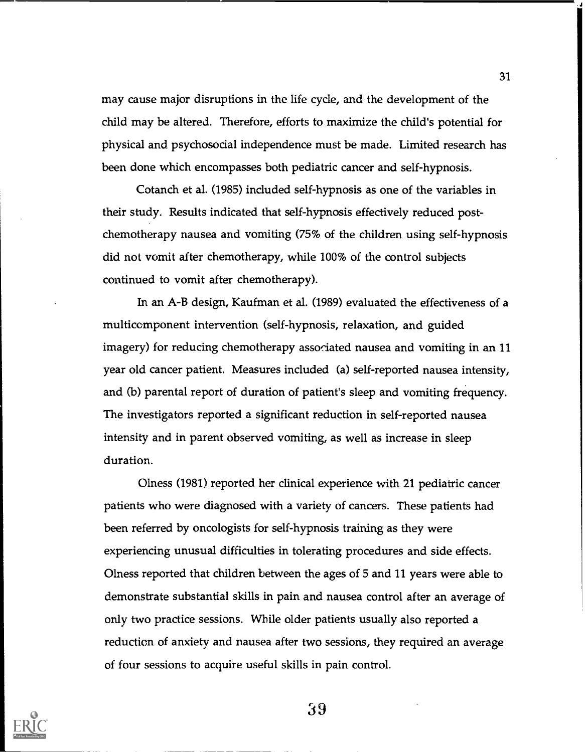may cause major disruptions in the life cycle, and the development of the child may be altered. Therefore, efforts to maximize the child's potential for physical and psychosocial independence must be made. Limited research has been done which encompasses both pediatric cancer and self-hypnosis.

Cotanch et al. (1985) included self-hypnosis as one of the variables in their study. Results indicated that self-hypnosis effectively reduced postchemotherapy nausea and vomiting (75% of the children using self-hypnosis did not vomit after chemotherapy, while 100% of the control subjects continued to vomit after chemotherapy).

In an A-B design, Kaufman et al. (1989) evaluated the effectiveness of a multicomponent intervention (self-hypnosis, relaxation, and guided imagery) for reducing chemotherapy associated nausea and vomiting in an 11 year old cancer patient. Measures included (a) self-reported nausea intensity, and (b) parental report of duration of patient's sleep and vomiting frequency. The investigators reported a significant reduction in self-reported nausea intensity and in parent observed vomiting, as well as increase in sleep duration.

Olness (1981) reported her clinical experience with 21 pediatric cancer patients who were diagnosed with a variety of cancers. These patients had been referred by oncologists for self-hypnosis training as they were experiencing unusual difficulties in tolerating procedures and side effects. Olness reported that children between the ages of 5 and 11 years were able to demonstrate substantial skills in pain and nausea control after an average of only two practice sessions. While older patients usually also reported a reduction of anxiety and nausea after two sessions, they required an average of four sessions to acquire useful skills in pain control.

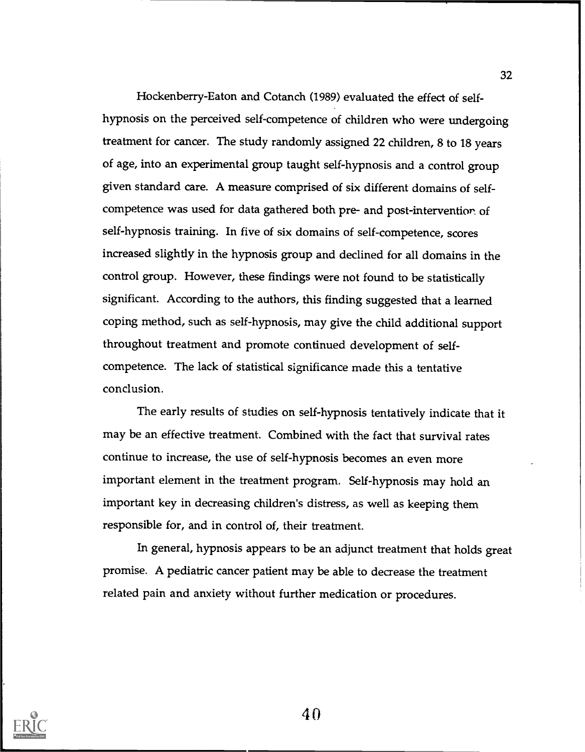Hockenberry-Eaton and Cotanch (1989) evaluated the effect of selfhypnosis on the perceived self-competence of children who were undergoing treatment for cancer. The study randomly assigned 22 children, 8 to 18 years of age, into an experimental group taught self-hypnosis and a control group given standard care. A measure comprised of six different domains of selfcompetence was used for data gathered both pre- and post-intervention of self-hypnosis training. In five of six domains of self-competence, scores increased slightly in the hypnosis group and declined for all domains in the control group. However, these findings were not found to be statistically significant. According to the authors, this finding suggested that a learned coping method, such as self-hypnosis, may give the child additional support throughout treatment and promote continued development of selfcompetence. The lack of statistical significance made this a tentative conclusion.

The early results of studies on self-hypnosis tentatively indicate that it may be an effective treatment. Combined with the fact that survival rates continue to increase, the use of self-hypnosis becomes an even more important element in the treatment program. Self-hypnosis may hold an important key in decreasing children's distress, as well as keeping them responsible for, and in control of, their treatment.

In general, hypnosis appears to be an adjunct treatment that holds great promise. A pediatric cancer patient may be able to decrease the treatment related pain and anxiety without further medication or procedures.



 $40$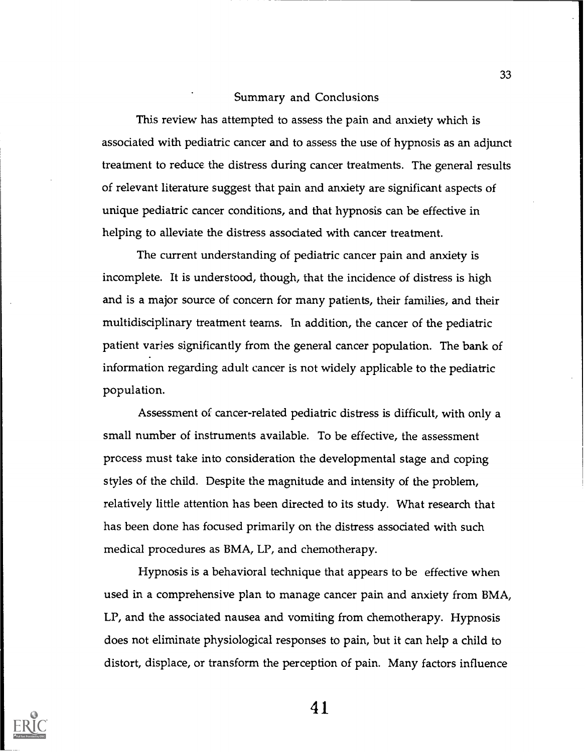#### Summary and Conclusions

This review has attempted to assess the pain and anxiety which is associated with pediatric cancer and to assess the use of hypnosis as an adjunct treatment to reduce the distress during cancer treatments. The general results of relevant literature suggest that pain and anxiety are significant aspects of unique pediatric cancer conditions, and that hypnosis can be effective in helping to alleviate the distress associated with cancer treatment.

The current understanding of pediatric cancer pain and anxiety is incomplete. It is understood, though, that the incidence of distress is high and is a major source of concern for many patients, their families, and their multidisciplinary treatment teams. In addition, the cancer of the pediatric patient varies significantly from the general cancer population. The bank of information regarding adult cancer is not widely applicable to the pediatric population.

Assessment of cancer-related pediatric distress is difficult, with only a small number of instruments available. To be effective, the assessment process must take into consideration the developmental stage and coping styles of the child. Despite the magnitude and intensity of the problem, relatively little attention has been directed to its study. What research that has been done has focused primarily on the distress associated with such medical procedures as BMA, LP, and chemotherapy.

Hypnosis is a behavioral technique that appears to be effective when used in a comprehensive plan to manage cancer pain and anxiety from BMA, LP, and the associated nausea and vomiting from chemotherapy. Hypnosis does not eliminate physiological responses to pain, but it can help a child to distort, displace, or transform the perception of pain. Many factors influence



41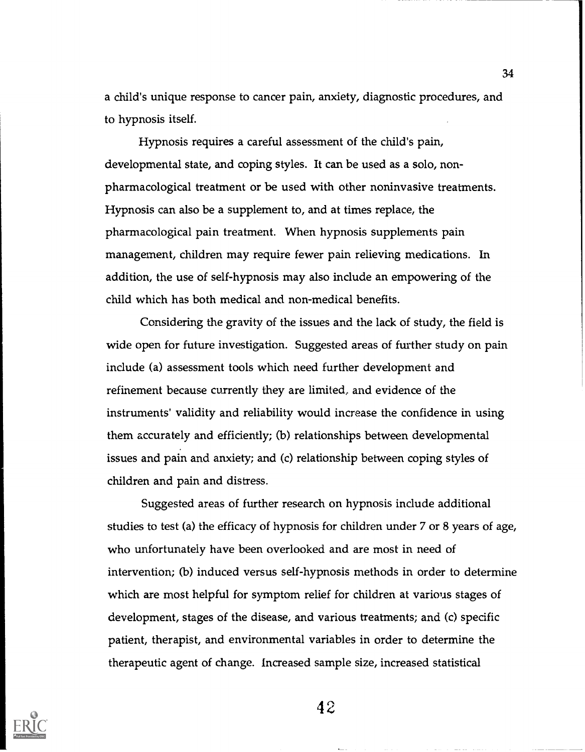a child's unique response to cancer pain, anxiety, diagnostic procedures, and to hypnosis itself.

Hypnosis requires a careful assessment of the child's pain, developmental state, and coping styles. It can be used as a solo, nonpharmacological treatment or be used with other noninvasive treatments. Hypnosis can also be a supplement to, and at times replace, the pharmacological pain treatment. When hypnosis supplements pain management, children may require fewer pain relieving medications. In addition, the use of self-hypnosis may also include an empowering of the child which has both medical and non-medical benefits.

Considering the gravity of the issues and the lack of study, the field is wide open for future investigation. Suggested areas of further study on pain include (a) assessment tools which need further development and refinement because currently they are limited, and evidence of the instruments' validity and reliability would increase the confidence in using them accurately and efficiently; (b) relationships between developmental issues and pain and anxiety; and (c) relationship between coping styles of children and pain and distress.

Suggested areas of further research on hypnosis include additional studies to test (a) the efficacy of hypnosis for children under 7 or 8 years of age, who unfortunately have been overlooked and are most in need of intervention; (b) induced versus self-hypnosis methods in order to determine which are most helpful for symptom relief for children at various stages of development, stages of the disease, and various treatments; and (c) specific patient, therapist, and environmental variables in order to determine the therapeutic agent of change. Increased sample size, increased statistical



42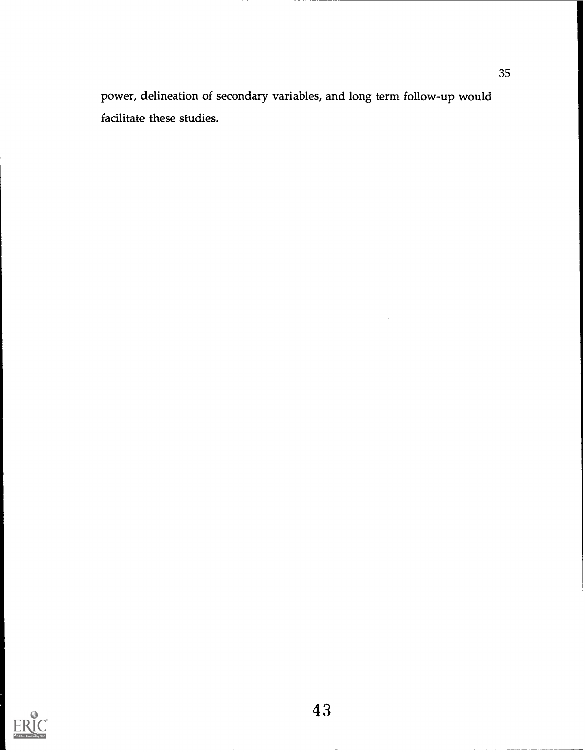power, delineation of secondary variables, and long term follow-up would facilitate these studies.

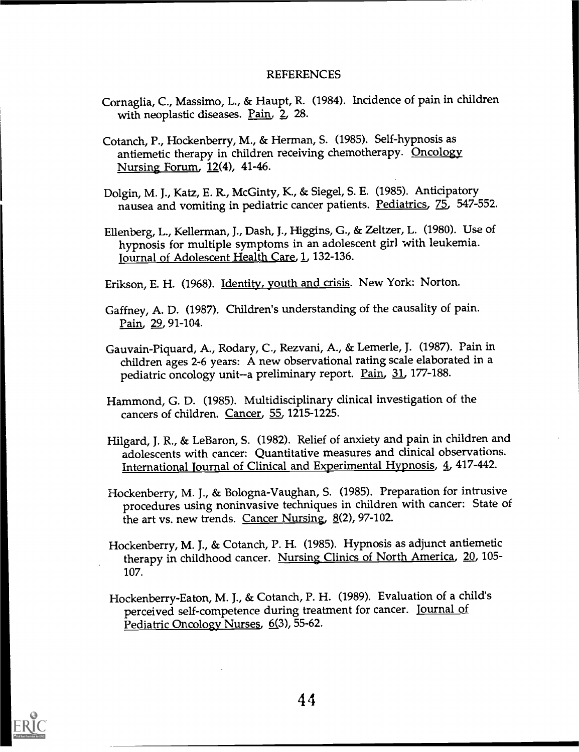#### REFERENCES

- Cornaglia, C., Massimo, L., & Haupt, R. (1984). Incidence of pain in children with neoplastic diseases. Pain, 2, 28.
- Cotanch, P., Hockenbeny, M., & Herman, S. (1985). Self-hypnosis as antiemetic therapy in children receiving chemotherapy. Oncology Nursing Forum, 12(4), 41-46.
- Dolgin, M. J., Katz, E. R, McGinty, K., & Siegel, S. E. (1985). Anticipatory nausea and vomiting in pediatric cancer patients. Pediatrics, 75, 547-552.
- Ellenberg, L., Kellerman, J., Dash, J., Higgins, G., & Zeltzer, L. (1980). Use of hypnosis for multiple symptoms in an adolescent girl with leukemia. Journal of Adolescent Health Care, 1, 132-136.
- Erikson, E. H. (1968). Identity, youth and crisis. New York: Norton.
- Gaffney, A. D. (1987). Children's understanding of the causality of pain. Pain, 29, 91-104.
- Gauvain-Piquard, A., Rodary, C., Rezvani, A., & Lemerle, J. (1987). Pain in children ages 2-6 years: A new observational rating scale elaborated in a pediatric oncology unit--a preliminary report. Pain, 31, 177-188.
- Hammond, G. D. (1985). Multidisciplinary clinical investigation of the cancers of children. Cancer, 55, 1215-1225.
- Hilgard, J. R., & LeBaron, S. (1982). Relief of anxiety and pain in children and adolescents with cancer: Quantitative measures and clinical observations. International journal of Clinical and Experimental Hypnosis, 4 417-442.
- Hockenberry, M. J., & Bologna-Vaughan, S. (1985). Preparation for intrusive procedures using noninvasive techniques in children with cancer: State of the art vs. new trends. Cancer Nursing, 8(2), 97-102.
- Hockenberry, M. J., & Cotanch, P. H. (1985). Hypnosis as adjunct antiemetic therapy in childhood cancer. Nursing Clinics of North America, 20, 105-107.
- Hockenberry-Eaton, M. J., & Cotanch, P. H. (1989). Evaluation of a child's perceived self-competence during treatment for cancer. Journal of Pediatric Oncology Nurses, 6(3), 55-62.

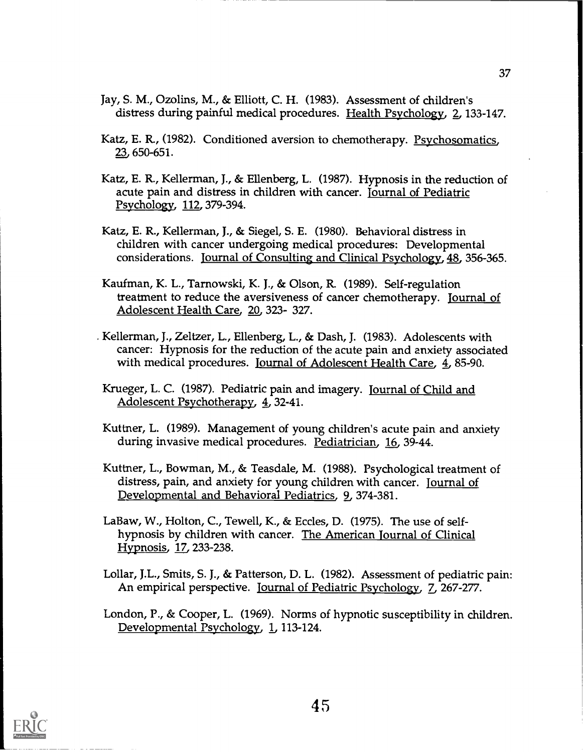- Jay, S. M., Ozolins, M., & Elliott, C. H. (1983). Assessment of children's distress during painful medical procedures. Health Psychology, 2, 133-147.
- Katz, E. R, (1982). Conditioned aversion to chemotherapy. Psychosomatics, 23 650-651.
- Katz, E. R, Kellerman, J., & Ellenberg, L. (1987). Hypnosis in the reduction of acute pain and distress in children with cancer. Journal of Pediatric Psychology, 112, 379-394.
- Katz, E. R., Kellerman, J., & Siegel, S. E. (1980). Behavioral distress in children with cancer undergoing medical procedures: Developmental considerations. Journal of Consulting and Clinical Psychology,18, 356-365.
- Kaufman, K. L., Tarnowski, K. J., & Olson, R (1989). Self-regulation treatment to reduce the aversiveness of cancer chemotherapy. Journal of Adolescent Health Care, 20 323- 327.
- Kellerman, J., Zeltzer, L., Ellenberg, L., & Dash, J. (1983). Adolescents with cancer: Hypnosis for the reduction of the acute pain and anxiety associated with medical procedures. Journal of Adolescent Health Care, 4, 85-90.
- Krueger, L. C. (1987). Pediatric pain and imagery. Journal of Child and Adolescent Psychotherapy, 4, 32-41.
- Kuttner, L. (1989). Management of young children's acute pain and anxiety during invasive medical procedures. Pediatrician, 16, 39-44.
- Kuttner, L., Bowman, M., & Teasdale, M. (1988). Psychological treatment of distress, pain, and anxiety for young children with cancer. Journal of Developmental and Behavioral Pediatrics, 9, 374-381.
- LaBaw, W., Holton, C., Tewell, K., & Eccles, D. (1975). The use of selfhypnosis by children with cancer. The American Journal of Clinical Hypnosis, 17\_, 233-238.
- Lollar, J.L., Smits, S. J., & Patterson, D. L. (1982). Assessment of pediatric pain: An empirical perspective. Journal of Pediatric Psychology, 7, 267-277.
- London, P., & Cooper, L. (1969). Norms of hypnotic susceptibility in children. Developmental Psychology, 1, 113-124.

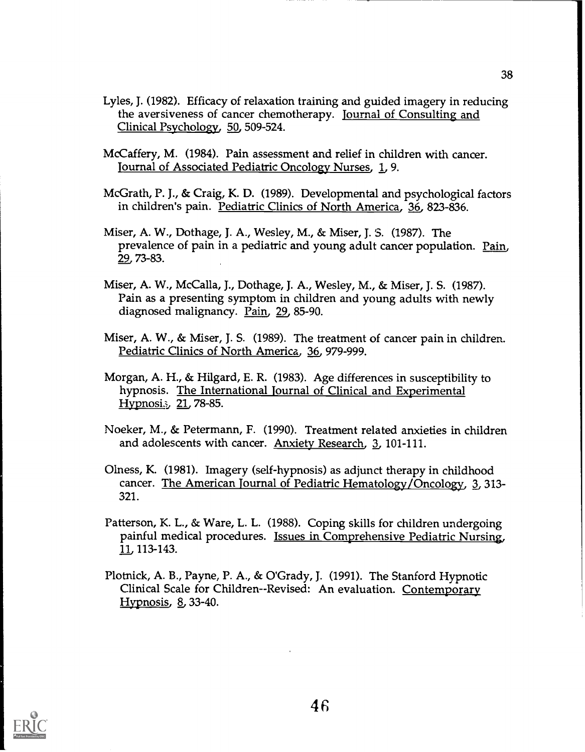- Lyles, J. (1982). Efficacy of relaxation training and guided imagery in reducing the aversiveness of cancer chemotherapy. Journal of Consulting and Clinical Psychology, 50, 509-524.
- McCaffery, M. (1984). Pain assessment and relief in children with cancer. Journal of Associated Pediatric Oncology Nurses, I, 9.
- McGrath, P. j., & Craig, K. D. (1989). Developmental and psychological factors in children's pain. Pediatric Clinics of North America, 36 823-836.
- Miser, A. W., Dothage, J. A., Wesley, M., & Miser, J. S. (1987). The prevalence of pain in a pediatric and young adult cancer population. Pain, 29, 73-83.
- Miser, A. W., McCalla, J., Dothage, J. A., Wesley, M., & Miser, J. S. (1987). Pain as a presenting symptom in children and young adults with newly diagnosed malignancy. Pain, 29, 85-90.
- Miser, A. W., & Miser, J. S. (1989). The treatment of cancer pain in children. Pediatric Clinics of North America, 36, 979-999.
- Morgan, A. H., & Hilgard, E. R. (1983). Age differences in susceptibility to hypnosis. The International Journal of Clinical and Experimental  $Hypnosi.$  21, 78-85.
- Noeker, M., & Petermann, F. (1990). Treatment related anxieties in children and adolescents with cancer. Anxiety Research, 3, 101-111.
- Olness, K. (1981). Imagery (self-hypnosis) as adjunct therapy in childhood cancer. The American Journal of Pediatric Hematology/Oncology, 3, 313-321.
- Patterson, K. L., & Ware, L. L. (1988). Coping skills for children undergoing painful medical procedures. Issues in Comprehensive Pediatric Nursing, 11 113-143.
- Plotnick, A. B., Payne, P. A., & O'Grady, J. (1991). The Stanford Hypnotic Clinical Scale for Children--Revised: An evaluation. Contemporary Hypnosis, 8, 33-40.

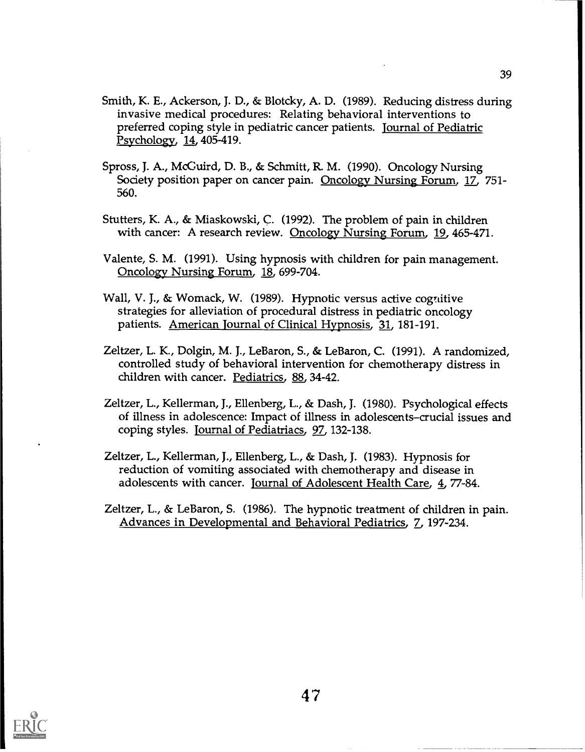- Smith, K. E., Ackerson, J. D., & Blotcky, A. D. (1989). Reducing distress during invasive medical procedures: Relating behavioral interventions to preferred coping style in pediatric cancer patients. journal of Pediatric Psychology, 14, 405-419.
- Spross, J. A., McGuird, D. B., & Schmitt, R M. (1990). Oncology Nursing Society position paper on cancer pain. Oncology Nursing Forum, 17, 751- 560.
- Stutters, K. A., & Miaskowski, C. (1992). The problem of pain in children with cancer: A research review. Oncology Nursing Forum, 19, 465-471.
- Valente, S. M. (1991). Using hypnosis with children for pain management. Oncology Nursing Forum, 18, 699-704.
- Wall, V. J., & Womack, W. (1989). Hypnotic versus active cognitive strategies for alleviation of procedural distress in pediatric oncology patients. American Journal of Clinical Hypnosis, 21, 181-191.
- Zeltzer, L. K., Dolgin, M. J., LeBaron, S., & LeBaron, C. (1991). A randomized, controlled study of behavioral intervention for chemotherapy distress in children with cancer. Pediatrics, 88, 34-42.
- Zeltzer, L., Kellerman, J., Ellenberg, L., & Dash, J. (1980). Psychological effects of illness in adolescence: Impact of illness in adolescents-crucial issues and coping styles. Journal of Pediatriacs, 97, 132-138.
- Zeltzer, L., Kellerman, J., Ellenberg, L., & Dash, J. (1983). Hypnosis for reduction of vomiting associated with chemotherapy and disease in adolescents with cancer. Journal of Adolescent Health Care, 4, 77-84.
- Zeltzer, L., & LeBaron, S. (1986). The hypnotic treatment of children in pain. Advances in Developmental and Behavioral Pediatrics, 7, 197-234.